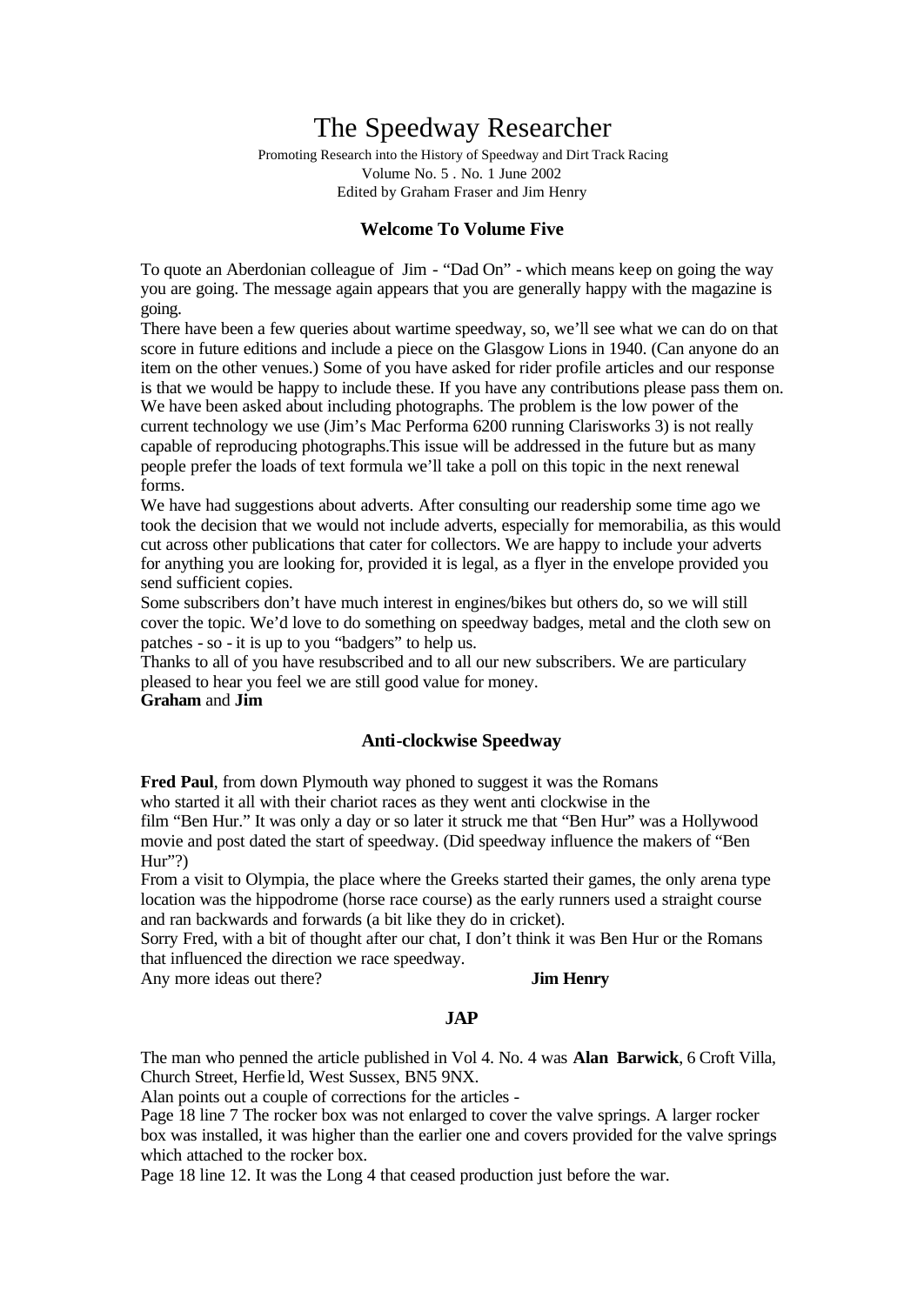# The Speedway Researcher

Promoting Research into the History of Speedway and Dirt Track Racing Volume No. 5 . No. 1 June 2002 Edited by Graham Fraser and Jim Henry

# **Welcome To Volume Five**

To quote an Aberdonian colleague of Jim - "Dad On" - which means keep on going the way you are going. The message again appears that you are generally happy with the magazine is going.

There have been a few queries about wartime speedway, so, we'll see what we can do on that score in future editions and include a piece on the Glasgow Lions in 1940. (Can anyone do an item on the other venues.) Some of you have asked for rider profile articles and our response is that we would be happy to include these. If you have any contributions please pass them on. We have been asked about including photographs. The problem is the low power of the current technology we use (Jim's Mac Performa 6200 running Clarisworks 3) is not really capable of reproducing photographs.This issue will be addressed in the future but as many people prefer the loads of text formula we'll take a poll on this topic in the next renewal forms.

We have had suggestions about adverts. After consulting our readership some time ago we took the decision that we would not include adverts, especially for memorabilia, as this would cut across other publications that cater for collectors. We are happy to include your adverts for anything you are looking for, provided it is legal, as a flyer in the envelope provided you send sufficient copies.

Some subscribers don't have much interest in engines/bikes but others do, so we will still cover the topic. We'd love to do something on speedway badges, metal and the cloth sew on patches - so - it is up to you "badgers" to help us.

Thanks to all of you have resubscribed and to all our new subscribers. We are particulary pleased to hear you feel we are still good value for money.

## **Graham** and **Jim**

# **Anti-clockwise Speedway**

**Fred Paul**, from down Plymouth way phoned to suggest it was the Romans who started it all with their chariot races as they went anti clockwise in the film "Ben Hur." It was only a day or so later it struck me that "Ben Hur" was a Hollywood movie and post dated the start of speedway. (Did speedway influence the makers of "Ben  $Hur''$ ?

From a visit to Olympia, the place where the Greeks started their games, the only arena type location was the hippodrome (horse race course) as the early runners used a straight course and ran backwards and forwards (a bit like they do in cricket).

Sorry Fred, with a bit of thought after our chat, I don't think it was Ben Hur or the Romans that influenced the direction we race speedway.

Any more ideas out there? **Jim Henry**

#### **JAP**

The man who penned the article published in Vol 4. No. 4 was **Alan Barwick**, 6 Croft Villa, Church Street, Herfie ld, West Sussex, BN5 9NX.

Alan points out a couple of corrections for the articles -

Page 18 line 7 The rocker box was not enlarged to cover the valve springs. A larger rocker box was installed, it was higher than the earlier one and covers provided for the valve springs which attached to the rocker box.

Page 18 line 12. It was the Long 4 that ceased production just before the war.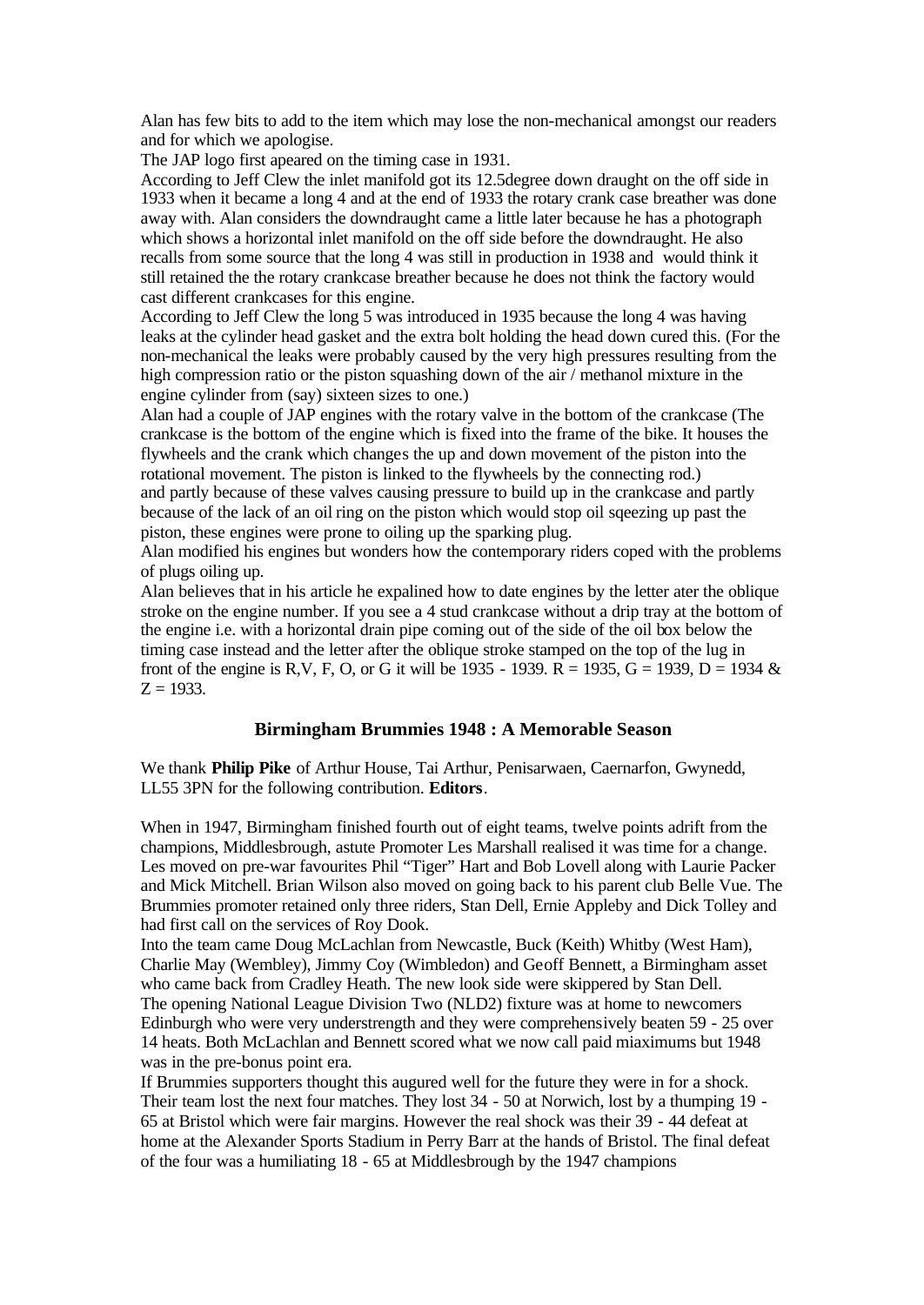Alan has few bits to add to the item which may lose the non-mechanical amongst our readers and for which we apologise.

The JAP logo first apeared on the timing case in 1931.

According to Jeff Clew the inlet manifold got its 12.5degree down draught on the off side in 1933 when it became a long 4 and at the end of 1933 the rotary crank case breather was done away with. Alan considers the downdraught came a little later because he has a photograph which shows a horizontal inlet manifold on the off side before the downdraught. He also recalls from some source that the long 4 was still in production in 1938 and would think it still retained the the rotary crankcase breather because he does not think the factory would cast different crankcases for this engine.

According to Jeff Clew the long 5 was introduced in 1935 because the long 4 was having leaks at the cylinder head gasket and the extra bolt holding the head down cured this. (For the non-mechanical the leaks were probably caused by the very high pressures resulting from the high compression ratio or the piston squashing down of the air / methanol mixture in the engine cylinder from (say) sixteen sizes to one.)

Alan had a couple of JAP engines with the rotary valve in the bottom of the crankcase (The crankcase is the bottom of the engine which is fixed into the frame of the bike. It houses the flywheels and the crank which changes the up and down movement of the piston into the rotational movement. The piston is linked to the flywheels by the connecting rod.) and partly because of these valves causing pressure to build up in the crankcase and partly because of the lack of an oil ring on the piston which would stop oil sqeezing up past the piston, these engines were prone to oiling up the sparking plug.

Alan modified his engines but wonders how the contemporary riders coped with the problems of plugs oiling up.

Alan believes that in his article he expalined how to date engines by the letter ater the oblique stroke on the engine number. If you see a 4 stud crankcase without a drip tray at the bottom of the engine i.e. with a horizontal drain pipe coming out of the side of the oil box below the timing case instead and the letter after the oblique stroke stamped on the top of the lug in front of the engine is R,V, F, O, or G it will be 1935 - 1939. R = 1935, G = 1939, D = 1934  $\&$  $Z = 1933$ .

## **Birmingham Brummies 1948 : A Memorable Season**

We thank **Philip Pike** of Arthur House, Tai Arthur, Penisarwaen, Caernarfon, Gwynedd, LL55 3PN for the following contribution. **Editors**.

When in 1947, Birmingham finished fourth out of eight teams, twelve points adrift from the champions, Middlesbrough, astute Promoter Les Marshall realised it was time for a change. Les moved on pre-war favourites Phil "Tiger" Hart and Bob Lovell along with Laurie Packer and Mick Mitchell. Brian Wilson also moved on going back to his parent club Belle Vue. The Brummies promoter retained only three riders, Stan Dell, Ernie Appleby and Dick Tolley and had first call on the services of Roy Dook.

Into the team came Doug McLachlan from Newcastle, Buck (Keith) Whitby (West Ham), Charlie May (Wembley), Jimmy Coy (Wimbledon) and Geoff Bennett, a Birmingham asset who came back from Cradley Heath. The new look side were skippered by Stan Dell. The opening National League Division Two (NLD2) fixture was at home to newcomers Edinburgh who were very understrength and they were comprehensively beaten 59 - 25 over 14 heats. Both McLachlan and Bennett scored what we now call paid miaximums but 1948 was in the pre-bonus point era.

If Brummies supporters thought this augured well for the future they were in for a shock. Their team lost the next four matches. They lost 34 - 50 at Norwich, lost by a thumping 19 - 65 at Bristol which were fair margins. However the real shock was their 39 - 44 defeat at home at the Alexander Sports Stadium in Perry Barr at the hands of Bristol. The final defeat of the four was a humiliating 18 - 65 at Middlesbrough by the 1947 champions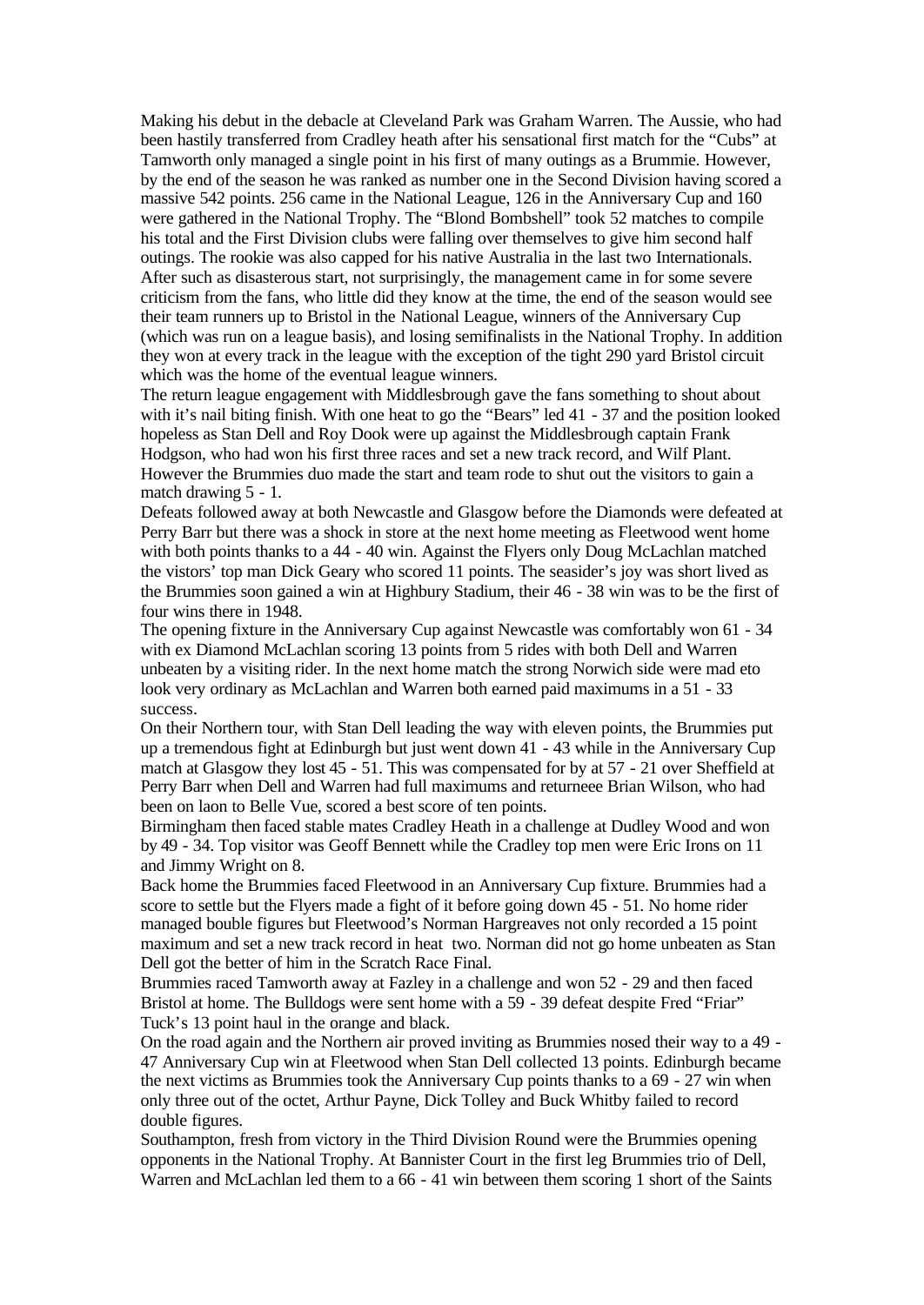Making his debut in the debacle at Cleveland Park was Graham Warren. The Aussie, who had been hastily transferred from Cradley heath after his sensational first match for the "Cubs" at Tamworth only managed a single point in his first of many outings as a Brummie. However, by the end of the season he was ranked as number one in the Second Division having scored a massive 542 points. 256 came in the National League, 126 in the Anniversary Cup and 160 were gathered in the National Trophy. The "Blond Bombshell" took 52 matches to compile his total and the First Division clubs were falling over themselves to give him second half outings. The rookie was also capped for his native Australia in the last two Internationals. After such as disasterous start, not surprisingly, the management came in for some severe criticism from the fans, who little did they know at the time, the end of the season would see their team runners up to Bristol in the National League, winners of the Anniversary Cup (which was run on a league basis), and losing semifinalists in the National Trophy. In addition they won at every track in the league with the exception of the tight 290 yard Bristol circuit which was the home of the eventual league winners.

The return league engagement with Middlesbrough gave the fans something to shout about with it's nail biting finish. With one heat to go the "Bears" led 41 - 37 and the position looked hopeless as Stan Dell and Roy Dook were up against the Middlesbrough captain Frank Hodgson, who had won his first three races and set a new track record, and Wilf Plant. However the Brummies duo made the start and team rode to shut out the visitors to gain a match drawing 5 - 1.

Defeats followed away at both Newcastle and Glasgow before the Diamonds were defeated at Perry Barr but there was a shock in store at the next home meeting as Fleetwood went home with both points thanks to a 44 - 40 win. Against the Flyers only Doug McLachlan matched the vistors' top man Dick Geary who scored 11 points. The seasider's joy was short lived as the Brummies soon gained a win at Highbury Stadium, their 46 - 38 win was to be the first of four wins there in 1948.

The opening fixture in the Anniversary Cup against Newcastle was comfortably won 61 - 34 with ex Diamond McLachlan scoring 13 points from 5 rides with both Dell and Warren unbeaten by a visiting rider. In the next home match the strong Norwich side were mad eto look very ordinary as McLachlan and Warren both earned paid maximums in a 51 - 33 success.

On their Northern tour, with Stan Dell leading the way with eleven points, the Brummies put up a tremendous fight at Edinburgh but just went down 41 - 43 while in the Anniversary Cup match at Glasgow they lost 45 - 51. This was compensated for by at 57 - 21 over Sheffield at Perry Barr when Dell and Warren had full maximums and returneee Brian Wilson, who had been on laon to Belle Vue, scored a best score of ten points.

Birmingham then faced stable mates Cradley Heath in a challenge at Dudley Wood and won by 49 - 34. Top visitor was Geoff Bennett while the Cradley top men were Eric Irons on 11 and Jimmy Wright on 8.

Back home the Brummies faced Fleetwood in an Anniversary Cup fixture. Brummies had a score to settle but the Flyers made a fight of it before going down 45 - 51. No home rider managed bouble figures but Fleetwood's Norman Hargreaves not only recorded a 15 point maximum and set a new track record in heat two. Norman did not go home unbeaten as Stan Dell got the better of him in the Scratch Race Final.

Brummies raced Tamworth away at Fazley in a challenge and won 52 - 29 and then faced Bristol at home. The Bulldogs were sent home with a 59 - 39 defeat despite Fred "Friar" Tuck's 13 point haul in the orange and black.

On the road again and the Northern air proved inviting as Brummies nosed their way to a 49 - 47 Anniversary Cup win at Fleetwood when Stan Dell collected 13 points. Edinburgh became the next victims as Brummies took the Anniversary Cup points thanks to a 69 - 27 win when only three out of the octet, Arthur Payne, Dick Tolley and Buck Whitby failed to record double figures.

Southampton, fresh from victory in the Third Division Round were the Brummies opening opponents in the National Trophy. At Bannister Court in the first leg Brummies trio of Dell, Warren and McLachlan led them to a 66 - 41 win between them scoring 1 short of the Saints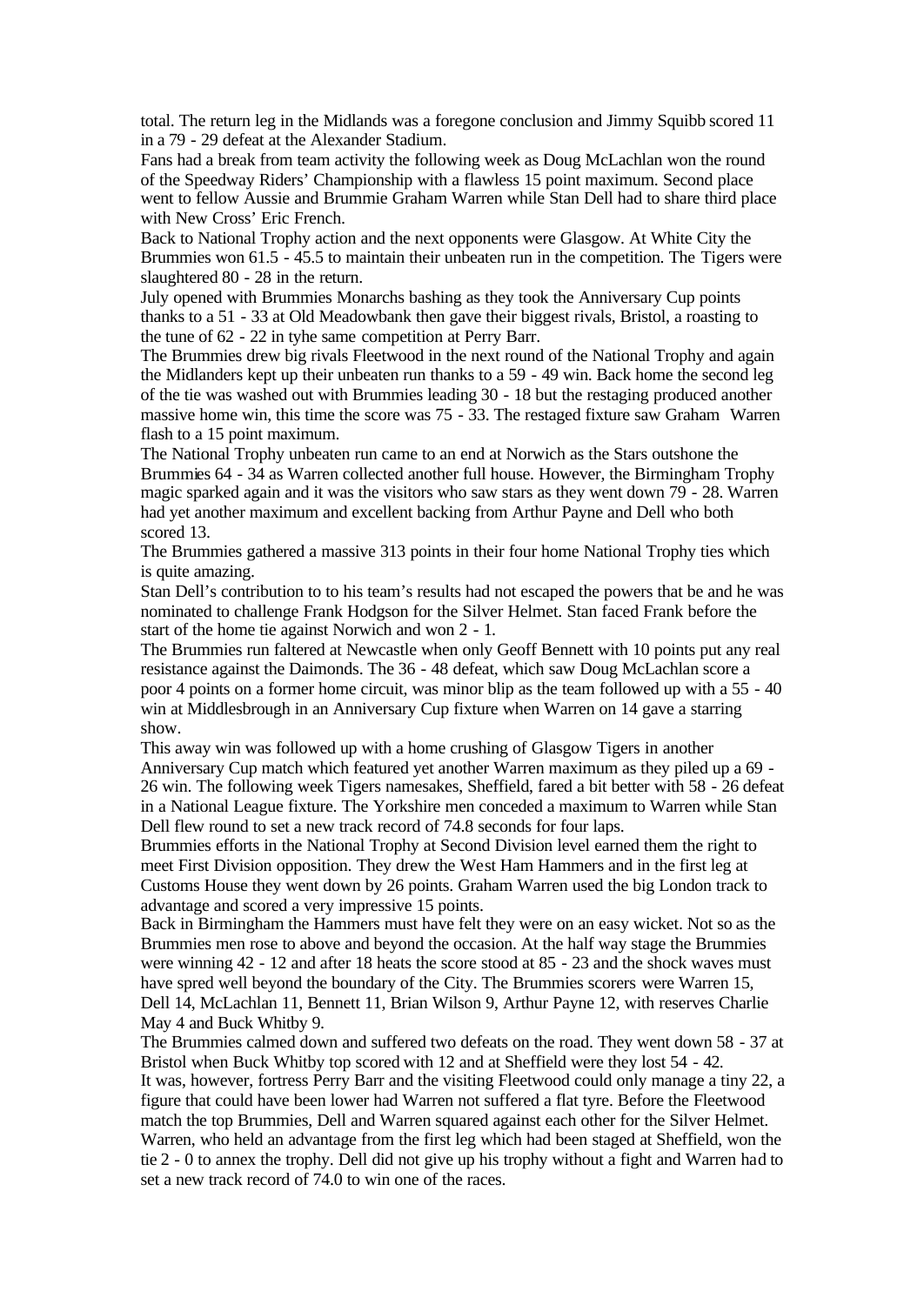total. The return leg in the Midlands was a foregone conclusion and Jimmy Squibb scored 11 in a 79 - 29 defeat at the Alexander Stadium.

Fans had a break from team activity the following week as Doug McLachlan won the round of the Speedway Riders' Championship with a flawless 15 point maximum. Second place went to fellow Aussie and Brummie Graham Warren while Stan Dell had to share third place with New Cross' Eric French.

Back to National Trophy action and the next opponents were Glasgow. At White City the Brummies won 61.5 - 45.5 to maintain their unbeaten run in the competition. The Tigers were slaughtered 80 - 28 in the return.

July opened with Brummies Monarchs bashing as they took the Anniversary Cup points thanks to a 51 - 33 at Old Meadowbank then gave their biggest rivals, Bristol, a roasting to the tune of 62 - 22 in tyhe same competition at Perry Barr.

The Brummies drew big rivals Fleetwood in the next round of the National Trophy and again the Midlanders kept up their unbeaten run thanks to a 59 - 49 win. Back home the second leg of the tie was washed out with Brummies leading 30 - 18 but the restaging produced another massive home win, this time the score was 75 - 33. The restaged fixture saw Graham Warren flash to a 15 point maximum.

The National Trophy unbeaten run came to an end at Norwich as the Stars outshone the Brummies 64 - 34 as Warren collected another full house. However, the Birmingham Trophy magic sparked again and it was the visitors who saw stars as they went down 79 - 28. Warren had yet another maximum and excellent backing from Arthur Payne and Dell who both scored 13.

The Brummies gathered a massive 313 points in their four home National Trophy ties which is quite amazing.

Stan Dell's contribution to to his team's results had not escaped the powers that be and he was nominated to challenge Frank Hodgson for the Silver Helmet. Stan faced Frank before the start of the home tie against Norwich and won 2 - 1.

The Brummies run faltered at Newcastle when only Geoff Bennett with 10 points put any real resistance against the Daimonds. The 36 - 48 defeat, which saw Doug McLachlan score a poor 4 points on a former home circuit, was minor blip as the team followed up with a 55 - 40 win at Middlesbrough in an Anniversary Cup fixture when Warren on 14 gave a starring show.

This away win was followed up with a home crushing of Glasgow Tigers in another Anniversary Cup match which featured yet another Warren maximum as they piled up a 69 - 26 win. The following week Tigers namesakes, Sheffield, fared a bit better with 58 - 26 defeat in a National League fixture. The Yorkshire men conceded a maximum to Warren while Stan Dell flew round to set a new track record of 74.8 seconds for four laps.

Brummies efforts in the National Trophy at Second Division level earned them the right to meet First Division opposition. They drew the West Ham Hammers and in the first leg at Customs House they went down by 26 points. Graham Warren used the big London track to advantage and scored a very impressive 15 points.

Back in Birmingham the Hammers must have felt they were on an easy wicket. Not so as the Brummies men rose to above and beyond the occasion. At the half way stage the Brummies were winning 42 - 12 and after 18 heats the score stood at 85 - 23 and the shock waves must have spred well beyond the boundary of the City. The Brummies scorers were Warren 15, Dell 14, McLachlan 11, Bennett 11, Brian Wilson 9, Arthur Payne 12, with reserves Charlie May 4 and Buck Whitby 9.

The Brummies calmed down and suffered two defeats on the road. They went down 58 - 37 at Bristol when Buck Whitby top scored with 12 and at Sheffield were they lost 54 - 42. It was, however, fortress Perry Barr and the visiting Fleetwood could only manage a tiny 22, a figure that could have been lower had Warren not suffered a flat tyre. Before the Fleetwood match the top Brummies, Dell and Warren squared against each other for the Silver Helmet. Warren, who held an advantage from the first leg which had been staged at Sheffield, won the tie 2 - 0 to annex the trophy. Dell did not give up his trophy without a fight and Warren had to set a new track record of 74.0 to win one of the races.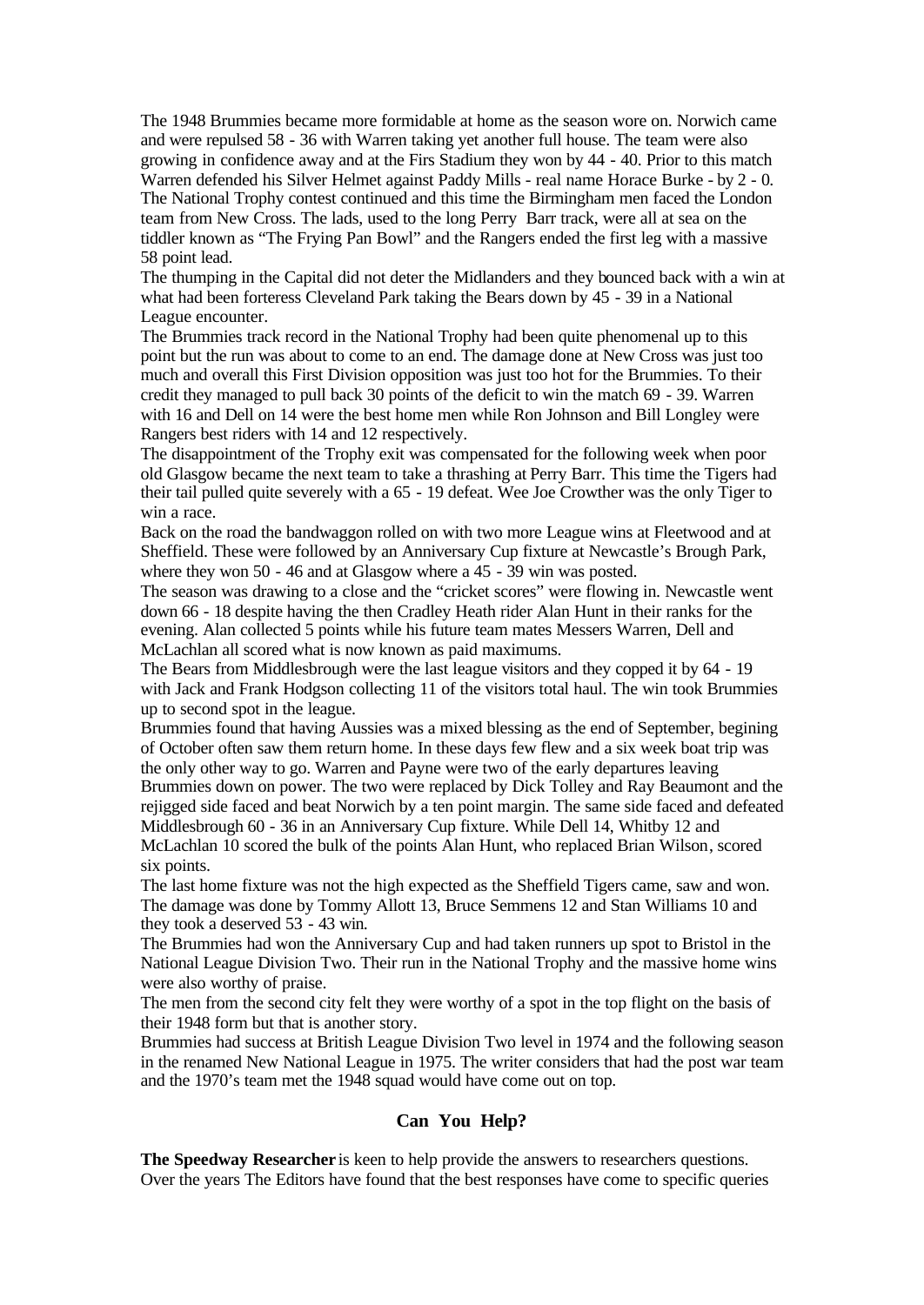The 1948 Brummies became more formidable at home as the season wore on. Norwich came and were repulsed 58 - 36 with Warren taking yet another full house. The team were also growing in confidence away and at the Firs Stadium they won by 44 - 40. Prior to this match Warren defended his Silver Helmet against Paddy Mills - real name Horace Burke - by 2 - 0. The National Trophy contest continued and this time the Birmingham men faced the London team from New Cross. The lads, used to the long Perry Barr track, were all at sea on the tiddler known as "The Frying Pan Bowl" and the Rangers ended the first leg with a massive 58 point lead.

The thumping in the Capital did not deter the Midlanders and they bounced back with a win at what had been forteress Cleveland Park taking the Bears down by 45 - 39 in a National League encounter.

The Brummies track record in the National Trophy had been quite phenomenal up to this point but the run was about to come to an end. The damage done at New Cross was just too much and overall this First Division opposition was just too hot for the Brummies. To their credit they managed to pull back 30 points of the deficit to win the match 69 - 39. Warren with 16 and Dell on 14 were the best home men while Ron Johnson and Bill Longley were Rangers best riders with 14 and 12 respectively.

The disappointment of the Trophy exit was compensated for the following week when poor old Glasgow became the next team to take a thrashing at Perry Barr. This time the Tigers had their tail pulled quite severely with a 65 - 19 defeat. Wee Joe Crowther was the only Tiger to win a race.

Back on the road the bandwaggon rolled on with two more League wins at Fleetwood and at Sheffield. These were followed by an Anniversary Cup fixture at Newcastle's Brough Park, where they won 50 - 46 and at Glasgow where a 45 - 39 win was posted.

The season was drawing to a close and the "cricket scores" were flowing in. Newcastle went down 66 - 18 despite having the then Cradley Heath rider Alan Hunt in their ranks for the evening. Alan collected 5 points while his future team mates Messers Warren, Dell and McLachlan all scored what is now known as paid maximums.

The Bears from Middlesbrough were the last league visitors and they copped it by 64 - 19 with Jack and Frank Hodgson collecting 11 of the visitors total haul. The win took Brummies up to second spot in the league.

Brummies found that having Aussies was a mixed blessing as the end of September, begining of October often saw them return home. In these days few flew and a six week boat trip was the only other way to go. Warren and Payne were two of the early departures leaving Brummies down on power. The two were replaced by Dick Tolley and Ray Beaumont and the rejigged side faced and beat Norwich by a ten point margin. The same side faced and defeated Middlesbrough 60 - 36 in an Anniversary Cup fixture. While Dell 14, Whitby 12 and McLachlan 10 scored the bulk of the points Alan Hunt, who replaced Brian Wilson, scored six points.

The last home fixture was not the high expected as the Sheffield Tigers came, saw and won. The damage was done by Tommy Allott 13, Bruce Semmens 12 and Stan Williams 10 and they took a deserved 53 - 43 win.

The Brummies had won the Anniversary Cup and had taken runners up spot to Bristol in the National League Division Two. Their run in the National Trophy and the massive home wins were also worthy of praise.

The men from the second city felt they were worthy of a spot in the top flight on the basis of their 1948 form but that is another story.

Brummies had success at British League Division Two level in 1974 and the following season in the renamed New National League in 1975. The writer considers that had the post war team and the 1970's team met the 1948 squad would have come out on top.

# **Can You Help?**

**The Speedway Researcher** is keen to help provide the answers to researchers questions. Over the years The Editors have found that the best responses have come to specific queries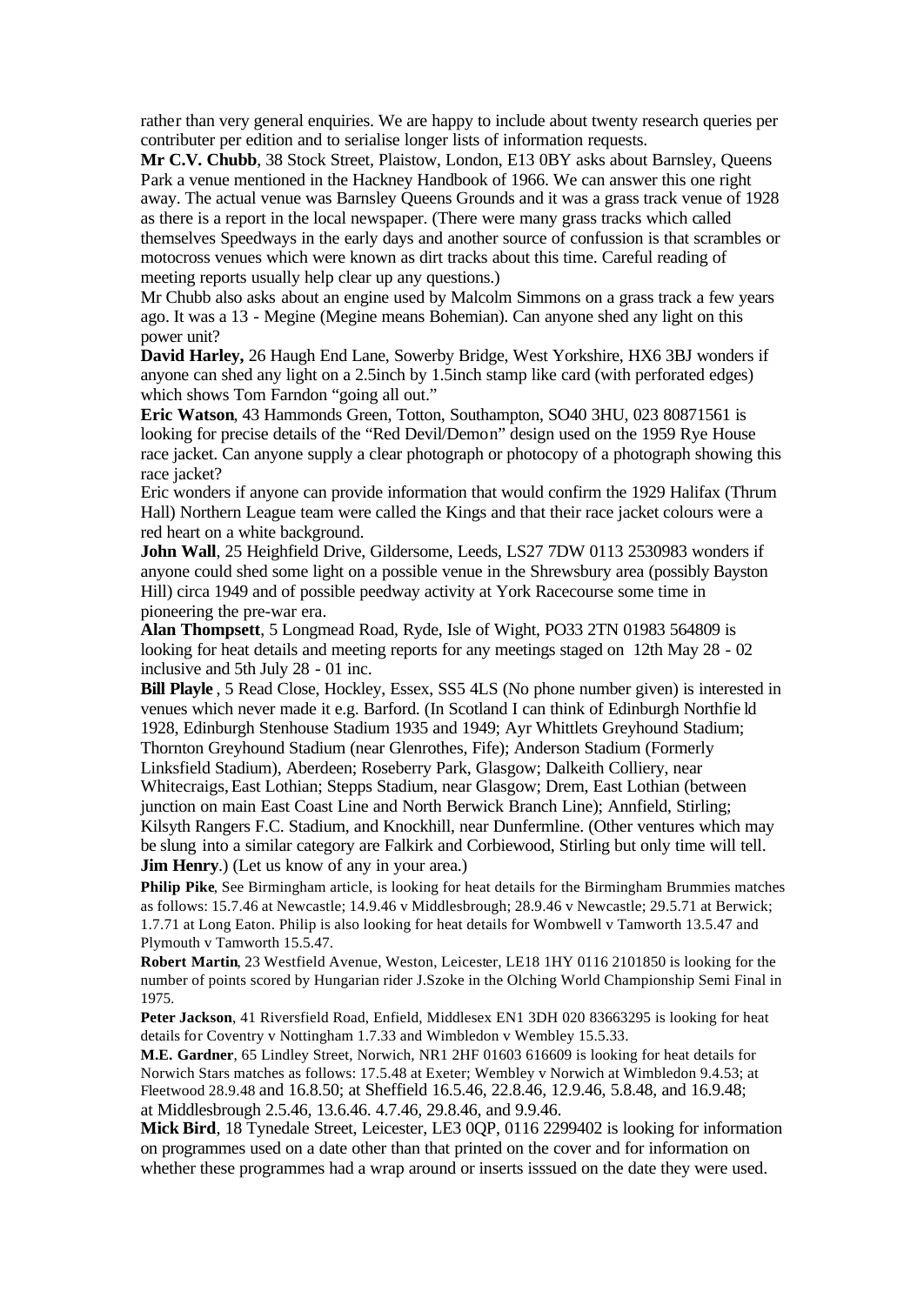rather than very general enquiries. We are happy to include about twenty research queries per contributer per edition and to serialise longer lists of information requests.

**Mr C.V. Chubb**, 38 Stock Street, Plaistow, London, E13 0BY asks about Barnsley, Queens Park a venue mentioned in the Hackney Handbook of 1966. We can answer this one right away. The actual venue was Barnsley Queens Grounds and it was a grass track venue of 1928 as there is a report in the local newspaper. (There were many grass tracks which called themselves Speedways in the early days and another source of confussion is that scrambles or motocross venues which were known as dirt tracks about this time. Careful reading of meeting reports usually help clear up any questions.)

Mr Chubb also asks about an engine used by Malcolm Simmons on a grass track a few years ago. It was a 13 - Megine (Megine means Bohemian). Can anyone shed any light on this power unit?

**David Harley,** 26 Haugh End Lane, Sowerby Bridge, West Yorkshire, HX6 3BJ wonders if anyone can shed any light on a 2.5inch by 1.5inch stamp like card (with perforated edges) which shows Tom Farndon "going all out."

**Eric Watson**, 43 Hammonds Green, Totton, Southampton, SO40 3HU, 023 80871561 is looking for precise details of the "Red Devil/Demon" design used on the 1959 Rye House race jacket. Can anyone supply a clear photograph or photocopy of a photograph showing this race jacket?

Eric wonders if anyone can provide information that would confirm the 1929 Halifax (Thrum Hall) Northern League team were called the Kings and that their race jacket colours were a red heart on a white background.

**John Wall**, 25 Heighfield Drive, Gildersome, Leeds, LS27 7DW 0113 2530983 wonders if anyone could shed some light on a possible venue in the Shrewsbury area (possibly Bayston Hill) circa 1949 and of possible peedway activity at York Racecourse some time in pioneering the pre-war era.

**Alan Thompsett**, 5 Longmead Road, Ryde, Isle of Wight, PO33 2TN 01983 564809 is looking for heat details and meeting reports for any meetings staged on 12th May 28 - 02 inclusive and 5th July 28 - 01 inc.

**Bill Playle**, 5 Read Close, Hockley, Essex, SS5 4LS (No phone number given) is interested in venues which never made it e.g. Barford. (In Scotland I can think of Edinburgh Northfie ld 1928, Edinburgh Stenhouse Stadium 1935 and 1949; Ayr Whittlets Greyhound Stadium; Thornton Greyhound Stadium (near Glenrothes, Fife); Anderson Stadium (Formerly Linksfield Stadium), Aberdeen; Roseberry Park, Glasgow; Dalkeith Colliery, near Whitecraigs,East Lothian; Stepps Stadium, near Glasgow; Drem, East Lothian (between junction on main East Coast Line and North Berwick Branch Line); Annfield, Stirling; Kilsyth Rangers F.C. Stadium, and Knockhill, near Dunfermline. (Other ventures which may be slung into a similar category are Falkirk and Corbiewood, Stirling but only time will tell. **Jim Henry.**) (Let us know of any in your area.)

**Philip Pike**, See Birmingham article, is looking for heat details for the Birmingham Brummies matches as follows: 15.7.46 at Newcastle; 14.9.46 v Middlesbrough; 28.9.46 v Newcastle; 29.5.71 at Berwick; 1.7.71 at Long Eaton. Philip is also looking for heat details for Wombwell v Tamworth 13.5.47 and Plymouth v Tamworth 15.5.47.

**Robert Martin**, 23 Westfield Avenue, Weston, Leicester, LE18 1HY 0116 2101850 is looking for the number of points scored by Hungarian rider J.Szoke in the Olching World Championship Semi Final in 1975.

**Peter Jackson**, 41 Riversfield Road, Enfield, Middlesex EN1 3DH 020 83663295 is looking for heat details for Coventry v Nottingham 1.7.33 and Wimbledon v Wembley 15.5.33.

**M.E. Gardner**, 65 Lindley Street, Norwich, NR1 2HF 01603 616609 is looking for heat details for Norwich Stars matches as follows: 17.5.48 at Exeter; Wembley v Norwich at Wimbledon 9.4.53; at Fleetwood 28.9.48 and 16.8.50; at Sheffield 16.5.46, 22.8.46, 12.9.46, 5.8.48, and 16.9.48; at Middlesbrough 2.5.46, 13.6.46. 4.7.46, 29.8.46, and 9.9.46.

**Mick Bird**, 18 Tynedale Street, Leicester, LE3 0QP, 0116 2299402 is looking for information on programmes used on a date other than that printed on the cover and for information on whether these programmes had a wrap around or inserts isssued on the date they were used.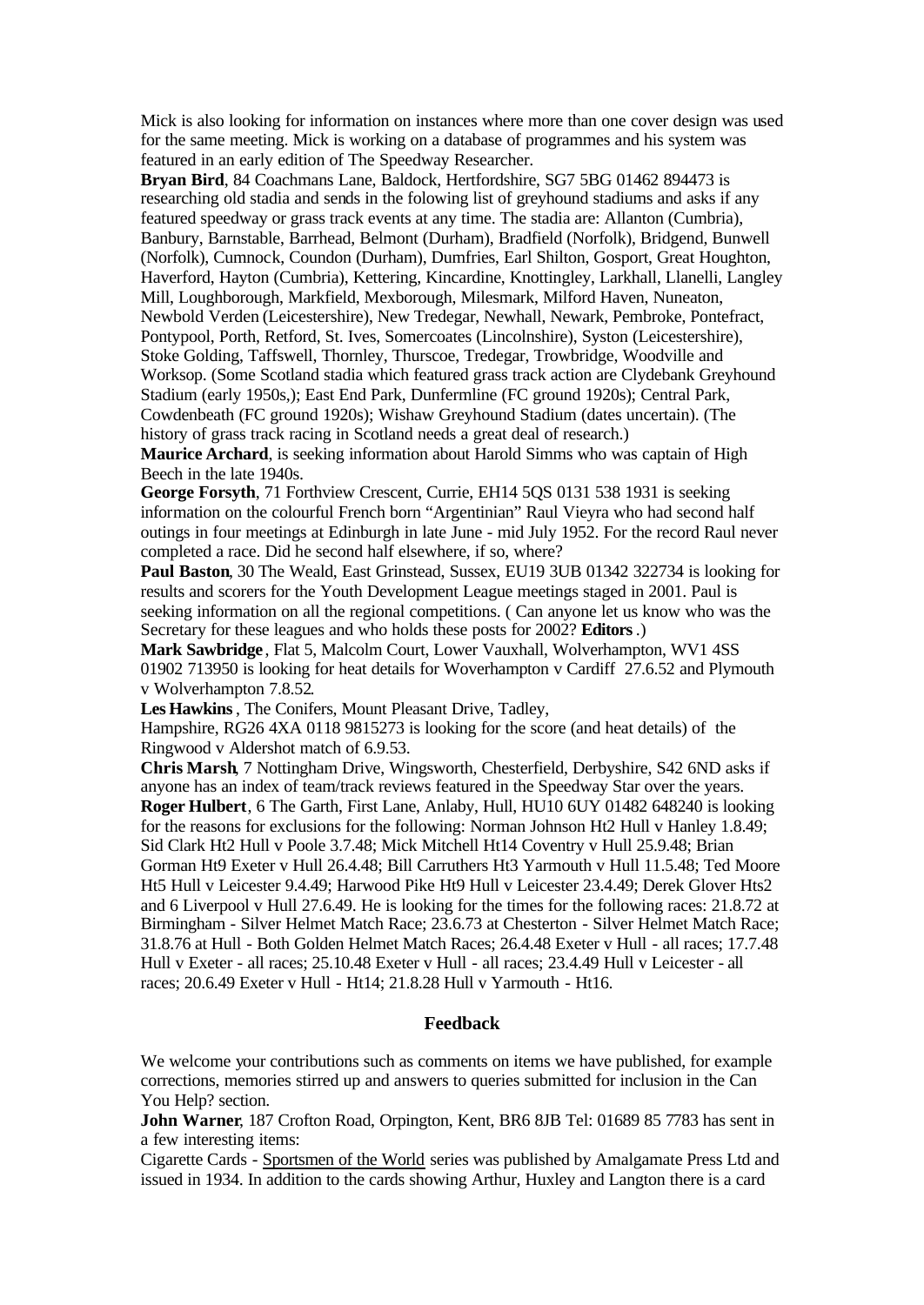Mick is also looking for information on instances where more than one cover design was used for the same meeting. Mick is working on a database of programmes and his system was featured in an early edition of The Speedway Researcher.

**Bryan Bird**, 84 Coachmans Lane, Baldock, Hertfordshire, SG7 5BG 01462 894473 is researching old stadia and sends in the folowing list of greyhound stadiums and asks if any featured speedway or grass track events at any time. The stadia are: Allanton (Cumbria), Banbury, Barnstable, Barrhead, Belmont (Durham), Bradfield (Norfolk), Bridgend, Bunwell (Norfolk), Cumnock, Coundon (Durham), Dumfries, Earl Shilton, Gosport, Great Houghton, Haverford, Hayton (Cumbria), Kettering, Kincardine, Knottingley, Larkhall, Llanelli, Langley Mill, Loughborough, Markfield, Mexborough, Milesmark, Milford Haven, Nuneaton, Newbold Verden (Leicestershire), New Tredegar, Newhall, Newark, Pembroke, Pontefract, Pontypool, Porth, Retford, St. Ives, Somercoates (Lincolnshire), Syston (Leicestershire), Stoke Golding, Taffswell, Thornley, Thurscoe, Tredegar, Trowbridge, Woodville and Worksop. (Some Scotland stadia which featured grass track action are Clydebank Greyhound Stadium (early 1950s,); East End Park, Dunfermline (FC ground 1920s); Central Park, Cowdenbeath (FC ground 1920s); Wishaw Greyhound Stadium (dates uncertain). (The history of grass track racing in Scotland needs a great deal of research.)

**Maurice Archard**, is seeking information about Harold Simms who was captain of High Beech in the late 1940s.

**George Forsyth**, 71 Forthview Crescent, Currie, EH14 5QS 0131 538 1931 is seeking information on the colourful French born "Argentinian" Raul Vieyra who had second half outings in four meetings at Edinburgh in late June - mid July 1952. For the record Raul never completed a race. Did he second half elsewhere, if so, where?

**Paul Baston**, 30 The Weald, East Grinstead, Sussex, EU19 3UB 01342 322734 is looking for results and scorers for the Youth Development League meetings staged in 2001. Paul is seeking information on all the regional competitions. ( Can anyone let us know who was the Secretary for these leagues and who holds these posts for 2002? **Editors**.)

**Mark Sawbridge** , Flat 5, Malcolm Court, Lower Vauxhall, Wolverhampton, WV1 4SS 01902 713950 is looking for heat details for Woverhampton v Cardiff 27.6.52 and Plymouth v Wolverhampton 7.8.52.

**Les Hawkins**, The Conifers, Mount Pleasant Drive, Tadley,

Hampshire, RG26 4XA 0118 9815273 is looking for the score (and heat details) of the Ringwood v Aldershot match of 6.9.53.

**Chris Marsh**, 7 Nottingham Drive, Wingsworth, Chesterfield, Derbyshire, S42 6ND asks if anyone has an index of team/track reviews featured in the Speedway Star over the years. **Roger Hulbert**, 6 The Garth, First Lane, Anlaby, Hull, HU10 6UY 01482 648240 is looking for the reasons for exclusions for the following: Norman Johnson Ht2 Hull v Hanley 1.8.49; Sid Clark Ht2 Hull v Poole 3.7.48; Mick Mitchell Ht14 Coventry v Hull 25.9.48; Brian Gorman Ht9 Exeter v Hull 26.4.48; Bill Carruthers Ht3 Yarmouth v Hull 11.5.48; Ted Moore Ht5 Hull v Leicester 9.4.49; Harwood Pike Ht9 Hull v Leicester 23.4.49; Derek Glover Hts2 and 6 Liverpool v Hull 27.6.49. He is looking for the times for the following races: 21.8.72 at Birmingham - Silver Helmet Match Race; 23.6.73 at Chesterton - Silver Helmet Match Race; 31.8.76 at Hull - Both Golden Helmet Match Races; 26.4.48 Exeter v Hull - all races; 17.7.48 Hull v Exeter - all races; 25.10.48 Exeter v Hull - all races; 23.4.49 Hull v Leicester - all races; 20.6.49 Exeter v Hull - Ht14; 21.8.28 Hull v Yarmouth - Ht16.

#### **Feedback**

We welcome your contributions such as comments on items we have published, for example corrections, memories stirred up and answers to queries submitted for inclusion in the Can You Help? section.

**John Warner**, 187 Crofton Road, Orpington, Kent, BR6 8JB Tel: 01689 85 7783 has sent in a few interesting items:

Cigarette Cards - Sportsmen of the World series was published by Amalgamate Press Ltd and issued in 1934. In addition to the cards showing Arthur, Huxley and Langton there is a card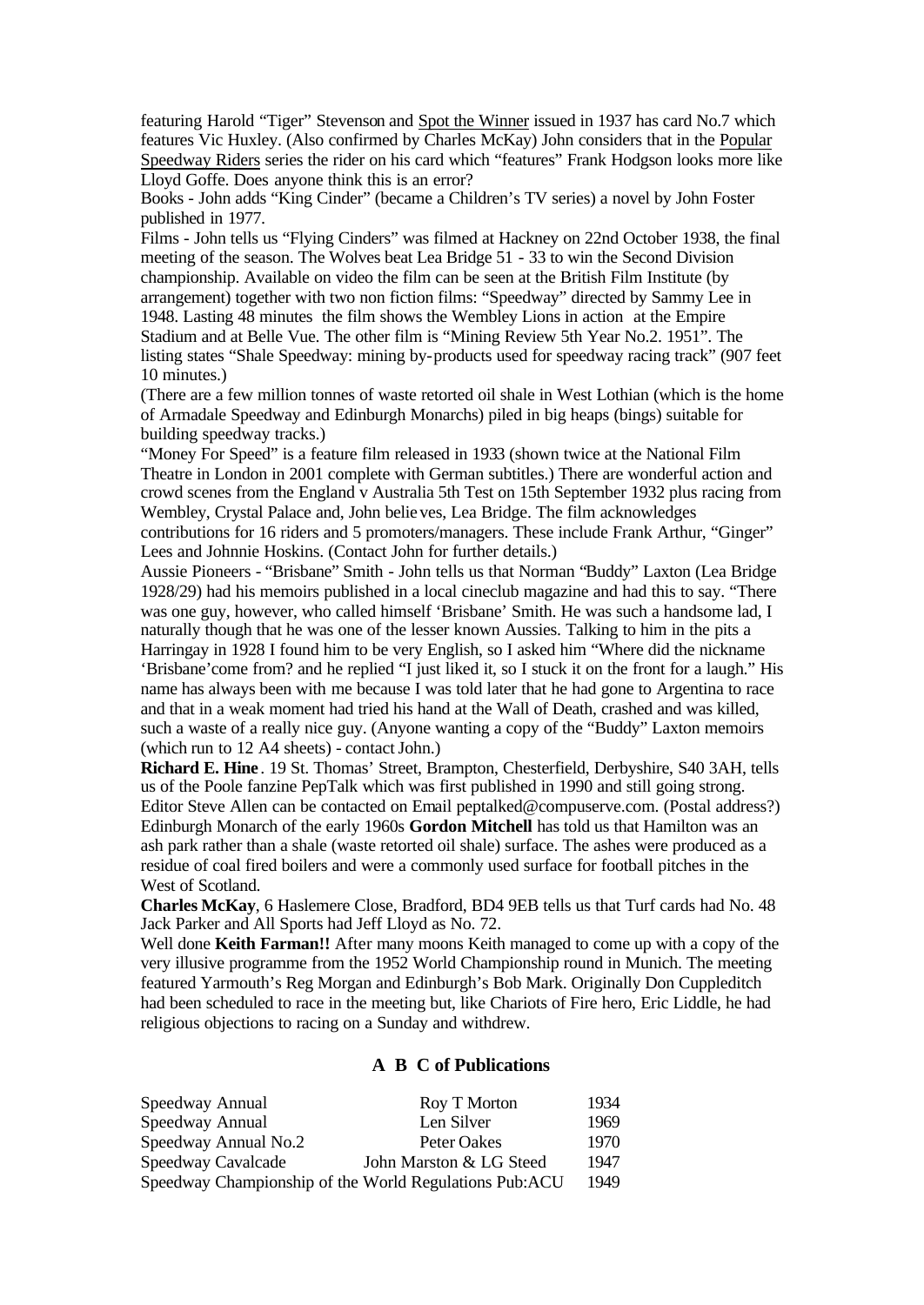featuring Harold "Tiger" Stevenson and Spot the Winner issued in 1937 has card No.7 which features Vic Huxley. (Also confirmed by Charles McKay) John considers that in the Popular Speedway Riders series the rider on his card which "features" Frank Hodgson looks more like Lloyd Goffe. Does anyone think this is an error?

Books - John adds "King Cinder" (became a Children's TV series) a novel by John Foster published in 1977.

Films - John tells us "Flying Cinders" was filmed at Hackney on 22nd October 1938, the final meeting of the season. The Wolves beat Lea Bridge 51 - 33 to win the Second Division championship. Available on video the film can be seen at the British Film Institute (by arrangement) together with two non fiction films: "Speedway" directed by Sammy Lee in 1948. Lasting 48 minutes the film shows the Wembley Lions in action at the Empire Stadium and at Belle Vue. The other film is "Mining Review 5th Year No.2. 1951". The listing states "Shale Speedway: mining by-products used for speedway racing track" (907 feet 10 minutes.)

(There are a few million tonnes of waste retorted oil shale in West Lothian (which is the home of Armadale Speedway and Edinburgh Monarchs) piled in big heaps (bings) suitable for building speedway tracks.)

"Money For Speed" is a feature film released in 1933 (shown twice at the National Film Theatre in London in 2001 complete with German subtitles.) There are wonderful action and crowd scenes from the England v Australia 5th Test on 15th September 1932 plus racing from Wembley, Crystal Palace and, John believes, Lea Bridge. The film acknowledges contributions for 16 riders and 5 promoters/managers. These include Frank Arthur, "Ginger"

Lees and Johnnie Hoskins. (Contact John for further details.)

Aussie Pioneers - "Brisbane" Smith - John tells us that Norman "Buddy" Laxton (Lea Bridge 1928/29) had his memoirs published in a local cineclub magazine and had this to say. "There was one guy, however, who called himself 'Brisbane' Smith. He was such a handsome lad, I naturally though that he was one of the lesser known Aussies. Talking to him in the pits a Harringay in 1928 I found him to be very English, so I asked him "Where did the nickname 'Brisbane'come from? and he replied "I just liked it, so I stuck it on the front for a laugh." His name has always been with me because I was told later that he had gone to Argentina to race and that in a weak moment had tried his hand at the Wall of Death, crashed and was killed, such a waste of a really nice guy. (Anyone wanting a copy of the "Buddy" Laxton memoirs (which run to 12 A4 sheets) - contact John.)

**Richard E. Hine** . 19 St. Thomas' Street, Brampton, Chesterfield, Derbyshire, S40 3AH, tells us of the Poole fanzine PepTalk which was first published in 1990 and still going strong. Editor Steve Allen can be contacted on Email peptalked@compuserve.com. (Postal address?) Edinburgh Monarch of the early 1960s **Gordon Mitchell** has told us that Hamilton was an ash park rather than a shale (waste retorted oil shale) surface. The ashes were produced as a residue of coal fired boilers and were a commonly used surface for football pitches in the West of Scotland.

**Charles McKay**, 6 Haslemere Close, Bradford, BD4 9EB tells us that Turf cards had No. 48 Jack Parker and All Sports had Jeff Lloyd as No. 72.

Well done **Keith Farman!!** After many moons Keith managed to come up with a copy of the very illusive programme from the 1952 World Championship round in Munich. The meeting featured Yarmouth's Reg Morgan and Edinburgh's Bob Mark. Originally Don Cuppleditch had been scheduled to race in the meeting but, like Chariots of Fire hero, Eric Liddle, he had religious objections to racing on a Sunday and withdrew.

#### **A B C of Publications**

| Speedway Annual                                        | Roy T Morton            | 1934 |
|--------------------------------------------------------|-------------------------|------|
| Speedway Annual                                        | Len Silver              | 1969 |
| Speedway Annual No.2                                   | Peter Oakes             | 1970 |
| Speedway Cavalcade                                     | John Marston & LG Steed | 1947 |
| Speedway Championship of the World Regulations Pub:ACU |                         | 1949 |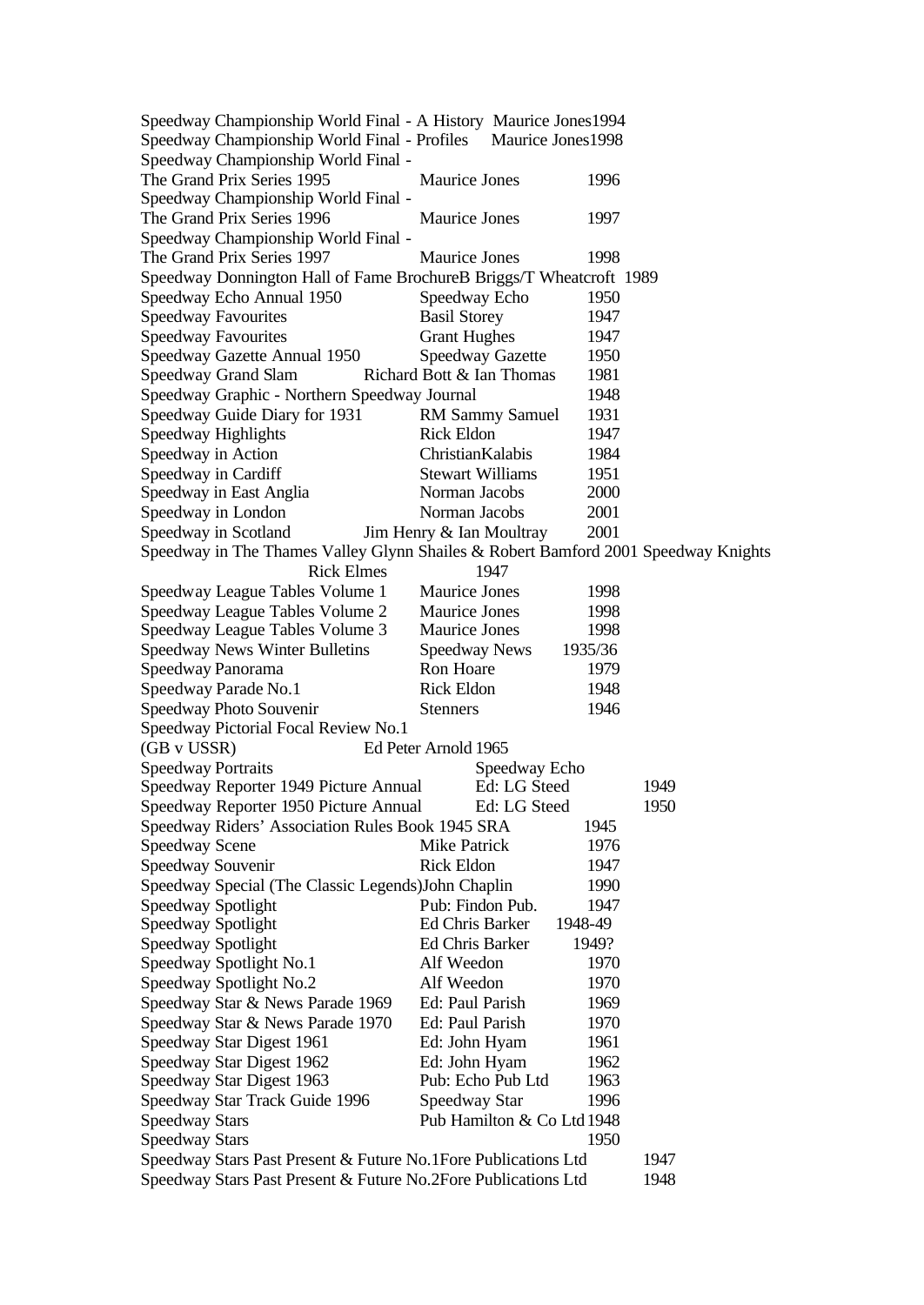| Speedway Championship World Final - A History Maurice Jones 1994                   |                               |                 |      |
|------------------------------------------------------------------------------------|-------------------------------|-----------------|------|
| Speedway Championship World Final - Profiles                                       | Maurice Jones 1998            |                 |      |
| Speedway Championship World Final -                                                |                               |                 |      |
| The Grand Prix Series 1995                                                         | Maurice Jones                 | 1996            |      |
| Speedway Championship World Final -                                                |                               |                 |      |
| The Grand Prix Series 1996                                                         | <b>Maurice Jones</b>          | 1997            |      |
| Speedway Championship World Final -                                                |                               |                 |      |
| The Grand Prix Series 1997                                                         | Maurice Jones                 | 1998            |      |
| Speedway Donnington Hall of Fame BrochureB Briggs/T Wheatcroft 1989                |                               |                 |      |
| Speedway Echo Annual 1950                                                          | Speedway Echo                 | 1950            |      |
| <b>Speedway Favourites</b>                                                         | <b>Basil Storey</b>           | 1947            |      |
| <b>Speedway Favourites</b>                                                         | <b>Grant Hughes</b>           | 1947            |      |
| Speedway Gazette Annual 1950                                                       | <b>Speedway Gazette</b>       | 1950            |      |
| Speedway Grand Slam                                                                | Richard Bott & Ian Thomas     | 1981            |      |
| Speedway Graphic - Northern Speedway Journal                                       |                               | 1948            |      |
| Speedway Guide Diary for 1931                                                      | <b>RM Sammy Samuel</b>        | 1931            |      |
| Speedway Highlights                                                                | <b>Rick Eldon</b>             | 1947            |      |
| Speedway in Action                                                                 | ChristianKalabis              | 1984            |      |
| Speedway in Cardiff                                                                | <b>Stewart Williams</b>       | 1951            |      |
| Speedway in East Anglia                                                            | Norman Jacobs                 | 2000            |      |
| Speedway in London                                                                 | Norman Jacobs                 | 2001            |      |
| Speedway in Scotland                                                               | Jim Henry & Ian Moultray      | 2001            |      |
| Speedway in The Thames Valley Glynn Shailes & Robert Bamford 2001 Speedway Knights |                               |                 |      |
| <b>Rick Elmes</b>                                                                  | 1947                          |                 |      |
| Speedway League Tables Volume 1                                                    | Maurice Jones                 | 1998            |      |
| Speedway League Tables Volume 2                                                    | Maurice Jones                 | 1998            |      |
| Speedway League Tables Volume 3                                                    | Maurice Jones                 | 1998            |      |
| Speedway News Winter Bulletins                                                     | <b>Speedway News</b>          | 1935/36         |      |
| Speedway Panorama                                                                  | Ron Hoare                     | 1979            |      |
| Speedway Parade No.1                                                               | <b>Rick Eldon</b>             | 1948            |      |
| Speedway Photo Souvenir                                                            | <b>Stenners</b>               | 1946            |      |
| Speedway Pictorial Focal Review No.1                                               |                               |                 |      |
| (GB v USSR)                                                                        | Ed Peter Arnold 1965          |                 |      |
|                                                                                    |                               |                 |      |
| <b>Speedway Portraits</b><br>Speedway Reporter 1949 Picture Annual                 | Speedway Echo<br>Ed: LG Steed |                 | 1949 |
| Speedway Reporter 1950 Picture Annual Ed: LG Steed                                 |                               |                 | 1950 |
| Speedway Riders' Association Rules Book 1945 SRA                                   |                               | 1945            |      |
|                                                                                    | Mike Patrick                  | 1976            |      |
| Speedway Scene                                                                     | <b>Rick Eldon</b>             |                 |      |
| Speedway Souvenir                                                                  |                               | 1947            |      |
| Speedway Special (The Classic Legends) John Chaplin                                | Pub: Findon Pub.              | 1990            |      |
| Speedway Spotlight                                                                 | <b>Ed Chris Barker</b>        | 1947<br>1948-49 |      |
| Speedway Spotlight                                                                 | <b>Ed Chris Barker</b>        |                 |      |
| Speedway Spotlight                                                                 |                               | 1949?           |      |
| Speedway Spotlight No.1                                                            | Alf Weedon                    | 1970            |      |
| Speedway Spotlight No.2                                                            | Alf Weedon                    | 1970            |      |
| Speedway Star & News Parade 1969                                                   | Ed: Paul Parish               | 1969            |      |
| Speedway Star & News Parade 1970                                                   | Ed: Paul Parish               | 1970            |      |
| Speedway Star Digest 1961                                                          | Ed: John Hyam                 | 1961            |      |
| Speedway Star Digest 1962                                                          | Ed: John Hyam                 | 1962            |      |
| Speedway Star Digest 1963                                                          | Pub: Echo Pub Ltd             | 1963            |      |
| Speedway Star Track Guide 1996                                                     | Speedway Star                 | 1996            |      |
| <b>Speedway Stars</b>                                                              | Pub Hamilton & Co Ltd 1948    |                 |      |
| <b>Speedway Stars</b>                                                              |                               | 1950            |      |
| Speedway Stars Past Present & Future No.1Fore Publications Ltd                     |                               |                 | 1947 |
| Speedway Stars Past Present & Future No.2Fore Publications Ltd                     | 1948                          |                 |      |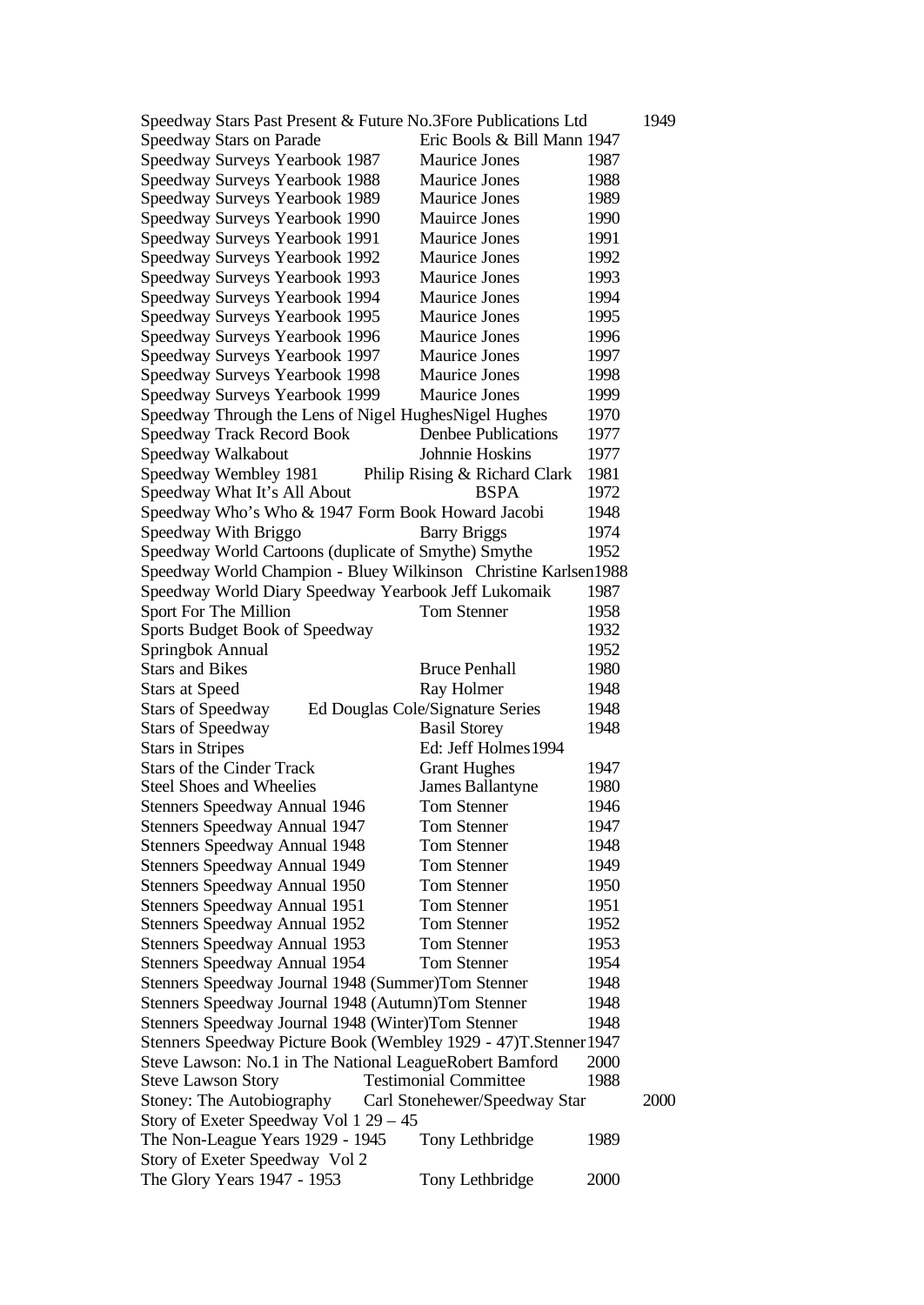| Speedway Stars Past Present & Future No.3Fore Publications Ltd    |                                  |      | 1949 |
|-------------------------------------------------------------------|----------------------------------|------|------|
| Speedway Stars on Parade                                          | Eric Bools & Bill Mann 1947      |      |      |
| Speedway Surveys Yearbook 1987                                    | <b>Maurice Jones</b>             | 1987 |      |
| Speedway Surveys Yearbook 1988                                    | <b>Maurice Jones</b>             | 1988 |      |
| Speedway Surveys Yearbook 1989                                    | Maurice Jones                    | 1989 |      |
| Speedway Surveys Yearbook 1990                                    | <b>Mauirce Jones</b>             | 1990 |      |
| Speedway Surveys Yearbook 1991                                    | Maurice Jones                    | 1991 |      |
| Speedway Surveys Yearbook 1992                                    | Maurice Jones                    | 1992 |      |
| Speedway Surveys Yearbook 1993                                    | Maurice Jones                    | 1993 |      |
| Speedway Surveys Yearbook 1994                                    | Maurice Jones                    | 1994 |      |
| Speedway Surveys Yearbook 1995                                    | Maurice Jones                    | 1995 |      |
| Speedway Surveys Yearbook 1996                                    | Maurice Jones                    | 1996 |      |
| Speedway Surveys Yearbook 1997                                    | Maurice Jones                    | 1997 |      |
| Speedway Surveys Yearbook 1998                                    | Maurice Jones                    | 1998 |      |
| Speedway Surveys Yearbook 1999                                    | Maurice Jones                    | 1999 |      |
| Speedway Through the Lens of Nigel HughesNigel Hughes             |                                  | 1970 |      |
| <b>Speedway Track Record Book</b>                                 | <b>Denbee Publications</b>       | 1977 |      |
| Speedway Walkabout                                                | Johnnie Hoskins                  | 1977 |      |
| Speedway Wembley 1981                                             | Philip Rising & Richard Clark    | 1981 |      |
| Speedway What It's All About                                      | <b>BSPA</b>                      | 1972 |      |
| Speedway Who's Who & 1947 Form Book Howard Jacobi                 |                                  | 1948 |      |
| Speedway With Briggo                                              | <b>Barry Briggs</b>              | 1974 |      |
| Speedway World Cartoons (duplicate of Smythe) Smythe              |                                  | 1952 |      |
| Speedway World Champion - Bluey Wilkinson Christine Karlsen1988   |                                  |      |      |
|                                                                   |                                  |      |      |
| Speedway World Diary Speedway Yearbook Jeff Lukomaik              |                                  | 1987 |      |
| Sport For The Million                                             | <b>Tom Stenner</b>               | 1958 |      |
| Sports Budget Book of Speedway                                    |                                  | 1932 |      |
| Springbok Annual                                                  |                                  | 1952 |      |
| <b>Stars and Bikes</b>                                            | <b>Bruce Penhall</b>             | 1980 |      |
| <b>Stars at Speed</b>                                             | Ray Holmer                       | 1948 |      |
| <b>Stars of Speedway</b>                                          | Ed Douglas Cole/Signature Series | 1948 |      |
| <b>Stars of Speedway</b>                                          | <b>Basil Storey</b>              | 1948 |      |
| <b>Stars in Stripes</b>                                           | Ed: Jeff Holmes 1994             |      |      |
| <b>Stars of the Cinder Track</b>                                  | <b>Grant Hughes</b>              | 1947 |      |
| <b>Steel Shoes and Wheelies</b>                                   | <b>James Ballantyne</b>          | 1980 |      |
| Stenners Speedway Annual 1946                                     | Tom Stenner                      | 1946 |      |
| Stenners Speedway Annual 1947                                     | Tom Stenner                      | 1947 |      |
| <b>Stenners Speedway Annual 1948</b>                              | <b>Tom Stenner</b>               | 1948 |      |
| <b>Stenners Speedway Annual 1949</b>                              | Tom Stenner                      | 1949 |      |
| <b>Stenners Speedway Annual 1950</b>                              | Tom Stenner                      | 1950 |      |
| <b>Stenners Speedway Annual 1951</b>                              | Tom Stenner                      | 1951 |      |
| <b>Stenners Speedway Annual 1952</b>                              | Tom Stenner                      | 1952 |      |
| <b>Stenners Speedway Annual 1953</b>                              | Tom Stenner                      | 1953 |      |
| Stenners Speedway Annual 1954                                     | <b>Tom Stenner</b>               | 1954 |      |
| Stenners Speedway Journal 1948 (Summer)Tom Stenner                |                                  | 1948 |      |
| Stenners Speedway Journal 1948 (Autumn)Tom Stenner                |                                  | 1948 |      |
| Stenners Speedway Journal 1948 (Winter)Tom Stenner                |                                  | 1948 |      |
| Stenners Speedway Picture Book (Wembley 1929 - 47)T. Stenner 1947 |                                  |      |      |
| Steve Lawson: No.1 in The National LeagueRobert Bamford           |                                  | 2000 |      |
| <b>Steve Lawson Story</b>                                         | <b>Testimonial Committee</b>     | 1988 |      |
| Stoney: The Autobiography                                         | Carl Stonehewer/Speedway Star    |      | 2000 |
| Story of Exeter Speedway Vol 1 29 – 45                            |                                  |      |      |
| The Non-League Years 1929 - 1945                                  | Tony Lethbridge                  | 1989 |      |
| Story of Exeter Speedway Vol 2                                    |                                  |      |      |
| The Glory Years 1947 - 1953                                       | Tony Lethbridge                  | 2000 |      |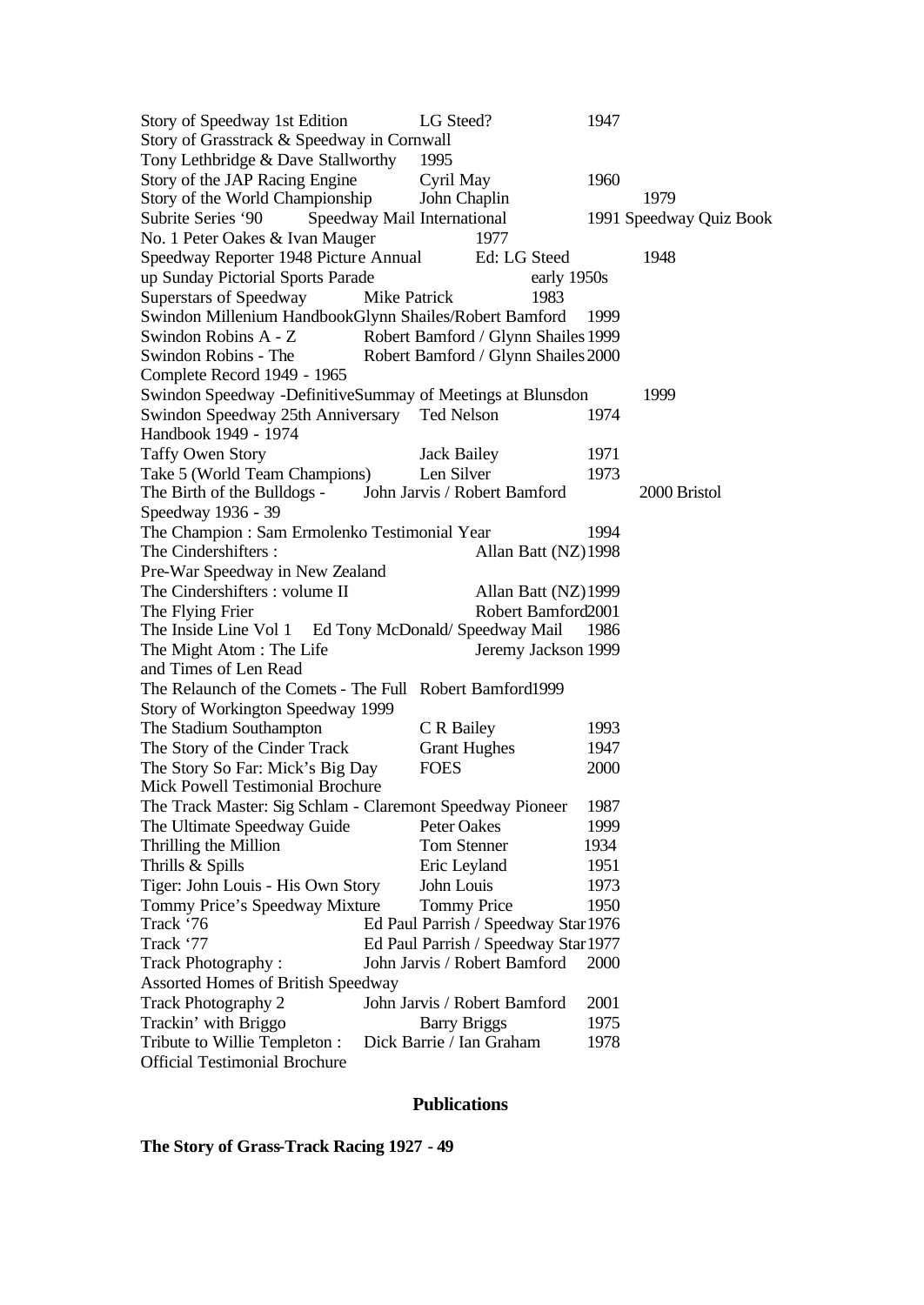Story of Speedway 1st Edition LG Steed? 1947 Story of Grasstrack & Speedway in Cornwall Tony Lethbridge & Dave Stallworthy 1995 Story of the JAP Racing Engine Cyril May 1960 Story of the World Championship John Chaplin 1979 Subrite Series '90 Speedway Mail International 1991 Speedway Quiz Book No. 1 Peter Oakes & Ivan Mauger 1977 Speedway Reporter 1948 Picture Annual Ed: LG Steed 1948 up Sunday Pictorial Sports Parade early 1950s Superstars of Speedway Mike Patrick 1983 Swindon Millenium HandbookGlynn Shailes/Robert Bamford 1999 Swindon Robins A - Z Robert Bamford / Glynn Shailes 1999 Swindon Robins - The Robert Bamford / Glynn Shailes 2000 Complete Record 1949 - 1965 Swindon Speedway -DefinitiveSummay of Meetings at Blunsdon 1999 Swindon Speedway 25th Anniversary Ted Nelson 1974 Handbook 1949 - 1974 Taffy Owen Story Jack Bailey 1971 Take 5 (World Team Champions) Len Silver 1973 The Birth of the Bulldogs - John Jarvis / Robert Bamford 2000 Bristol Speedway 1936 - 39 The Champion : Sam Ermolenko Testimonial Year 1994 The Cindershifters : Allan Batt (NZ)1998 Pre-War Speedway in New Zealand The Cindershifters : volume II Allan Batt (NZ)1999 The Flying Frier Robert Bamford2001 The Inside Line Vol 1 Ed Tony McDonald/ Speedway Mail 1986 The Might Atom : The Life Jeremy Jackson 1999 and Times of Len Read The Relaunch of the Comets - The Full Robert Bamford1999 Story of Workington Speedway 1999 The Stadium Southampton C R Bailey 1993 The Story of the Cinder Track Grant Hughes 1947 The Story So Far: Mick's Big Day FOES 2000 Mick Powell Testimonial Brochure The Track Master: Sig Schlam - Claremont Speedway Pioneer 1987 The Ultimate Speedway Guide Peter Oakes 1999 Thrilling the Million Tom Stenner 1934 Thrills & Spills Eric Leyland 1951 Tiger: John Louis - His Own Story John Louis 1973 Tommy Price's Speedway Mixture Tommy Price 1950 Track '76 Ed Paul Parrish / Speedway Star1976 Track '77 Ed Paul Parrish / Speedway Star1977 Track Photography : John Jarvis / Robert Bamford 2000 Assorted Homes of British Speedway Track Photography 2 John Jarvis / Robert Bamford 2001 Trackin' with Briggo Barry Briggs 1975 Tribute to Willie Templeton : Dick Barrie / Ian Graham 1978 Official Testimonial Brochure

#### **Publications**

**The Story of Grass-Track Racing 1927 - 49**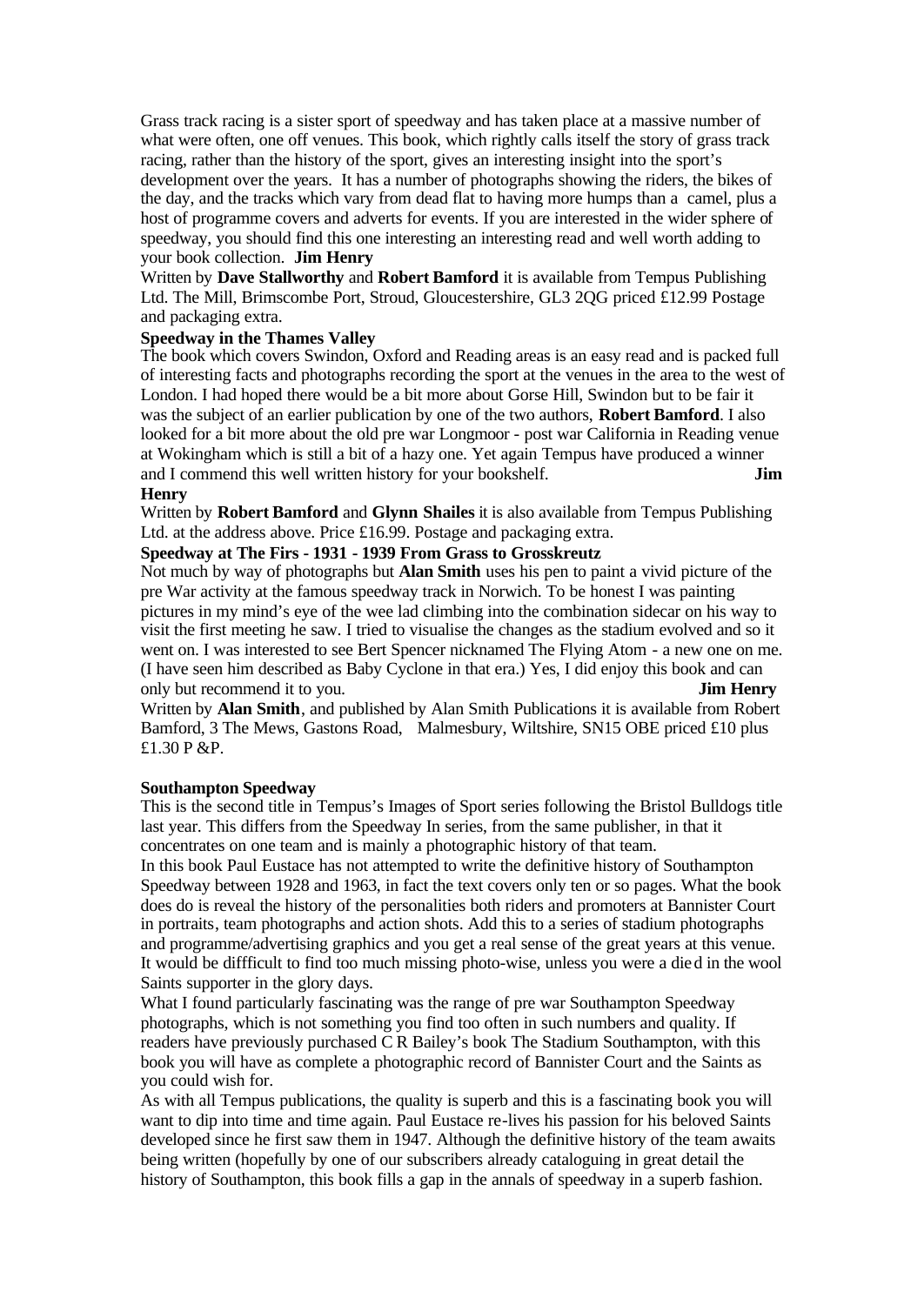Grass track racing is a sister sport of speedway and has taken place at a massive number of what were often, one off venues. This book, which rightly calls itself the story of grass track racing, rather than the history of the sport, gives an interesting insight into the sport's development over the years. It has a number of photographs showing the riders, the bikes of the day, and the tracks which vary from dead flat to having more humps than a camel, plus a host of programme covers and adverts for events. If you are interested in the wider sphere of speedway, you should find this one interesting an interesting read and well worth adding to your book collection. **Jim Henry**

Written by **Dave Stallworthy** and **Robert Bamford** it is available from Tempus Publishing Ltd. The Mill, Brimscombe Port, Stroud, Gloucestershire, GL3 2QG priced £12.99 Postage and packaging extra.

## **Speedway in the Thames Valley**

The book which covers Swindon, Oxford and Reading areas is an easy read and is packed full of interesting facts and photographs recording the sport at the venues in the area to the west of London. I had hoped there would be a bit more about Gorse Hill, Swindon but to be fair it was the subject of an earlier publication by one of the two authors, **Robert Bamford**. I also looked for a bit more about the old pre war Longmoor - post war California in Reading venue at Wokingham which is still a bit of a hazy one. Yet again Tempus have produced a winner and I commend this well written history for your bookshelf. **Jim Henry**

Written by **Robert Bamford** and **Glynn Shailes** it is also available from Tempus Publishing Ltd. at the address above. Price £16.99. Postage and packaging extra.

#### **Speedway at The Firs - 1931 - 1939 From Grass to Grosskreutz**

Not much by way of photographs but **Alan Smith** uses his pen to paint a vivid picture of the pre War activity at the famous speedway track in Norwich. To be honest I was painting pictures in my mind's eye of the wee lad climbing into the combination sidecar on his way to visit the first meeting he saw. I tried to visualise the changes as the stadium evolved and so it went on. I was interested to see Bert Spencer nicknamed The Flying Atom - a new one on me. (I have seen him described as Baby Cyclone in that era.) Yes, I did enjoy this book and can only but recommend it to you. **Jim Henry**

Written by **Alan Smith**, and published by Alan Smith Publications it is available from Robert Bamford, 3 The Mews, Gastons Road, Malmesbury, Wiltshire, SN15 OBE priced £10 plus £1.30 P &P.

#### **Southampton Speedway**

This is the second title in Tempus's Images of Sport series following the Bristol Bulldogs title last year. This differs from the Speedway In series, from the same publisher, in that it concentrates on one team and is mainly a photographic history of that team.

In this book Paul Eustace has not attempted to write the definitive history of Southampton Speedway between 1928 and 1963, in fact the text covers only ten or so pages. What the book does do is reveal the history of the personalities both riders and promoters at Bannister Court in portraits, team photographs and action shots. Add this to a series of stadium photographs and programme/advertising graphics and you get a real sense of the great years at this venue. It would be diffficult to find too much missing photo-wise, unless you were a died in the wool Saints supporter in the glory days.

What I found particularly fascinating was the range of pre war Southampton Speedway photographs, which is not something you find too often in such numbers and quality. If readers have previously purchased C R Bailey's book The Stadium Southampton, with this book you will have as complete a photographic record of Bannister Court and the Saints as you could wish for.

As with all Tempus publications, the quality is superb and this is a fascinating book you will want to dip into time and time again. Paul Eustace re-lives his passion for his beloved Saints developed since he first saw them in 1947. Although the definitive history of the team awaits being written (hopefully by one of our subscribers already cataloguing in great detail the history of Southampton, this book fills a gap in the annals of speedway in a superb fashion.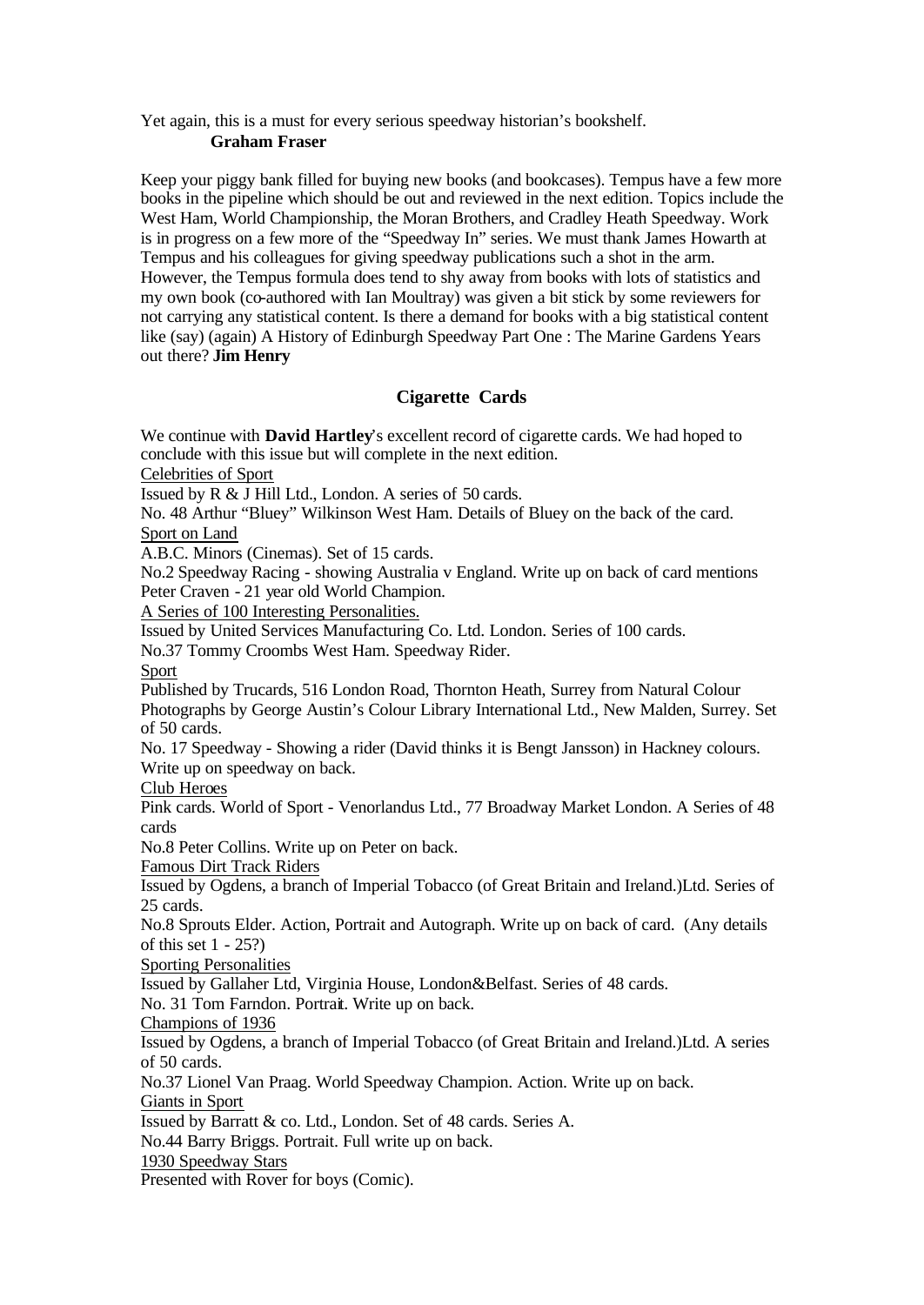Yet again, this is a must for every serious speedway historian's bookshelf.

## **Graham Fraser**

Keep your piggy bank filled for buying new books (and bookcases). Tempus have a few more books in the pipeline which should be out and reviewed in the next edition. Topics include the West Ham, World Championship, the Moran Brothers, and Cradley Heath Speedway. Work is in progress on a few more of the "Speedway In" series. We must thank James Howarth at Tempus and his colleagues for giving speedway publications such a shot in the arm. However, the Tempus formula does tend to shy away from books with lots of statistics and my own book (co-authored with Ian Moultray) was given a bit stick by some reviewers for not carrying any statistical content. Is there a demand for books with a big statistical content like (say) (again) A History of Edinburgh Speedway Part One : The Marine Gardens Years out there? **Jim Henry** 

# **Cigarette Cards**

We continue with **David Hartley**'s excellent record of cigarette cards. We had hoped to conclude with this issue but will complete in the next edition.

Celebrities of Sport

Issued by R & J Hill Ltd., London. A series of 50 cards.

No. 48 Arthur "Bluey" Wilkinson West Ham. Details of Bluey on the back of the card. Sport on Land

A.B.C. Minors (Cinemas). Set of 15 cards.

No.2 Speedway Racing - showing Australia v England. Write up on back of card mentions Peter Craven - 21 year old World Champion.

A Series of 100 Interesting Personalities.

Issued by United Services Manufacturing Co. Ltd. London. Series of 100 cards.

No.37 Tommy Croombs West Ham. Speedway Rider.

Sport

Published by Trucards, 516 London Road, Thornton Heath, Surrey from Natural Colour Photographs by George Austin's Colour Library International Ltd., New Malden, Surrey. Set of 50 cards.

No. 17 Speedway - Showing a rider (David thinks it is Bengt Jansson) in Hackney colours. Write up on speedway on back.

Club Heroes

Pink cards. World of Sport - Venorlandus Ltd., 77 Broadway Market London. A Series of 48 cards

No.8 Peter Collins. Write up on Peter on back.

Famous Dirt Track Riders

Issued by Ogdens, a branch of Imperial Tobacco (of Great Britain and Ireland.)Ltd. Series of 25 cards.

No.8 Sprouts Elder. Action, Portrait and Autograph. Write up on back of card. (Any details of this set 1 - 25?)

Sporting Personalities

Issued by Gallaher Ltd, Virginia House, London&Belfast. Series of 48 cards.

No. 31 Tom Farndon. Portrait. Write up on back.

Champions of 1936

Issued by Ogdens, a branch of Imperial Tobacco (of Great Britain and Ireland.)Ltd. A series of 50 cards.

No.37 Lionel Van Praag. World Speedway Champion. Action. Write up on back.

Giants in Sport

Issued by Barratt & co. Ltd., London. Set of 48 cards. Series A.

No.44 Barry Briggs. Portrait. Full write up on back.

1930 Speedway Stars

Presented with Rover for boys (Comic).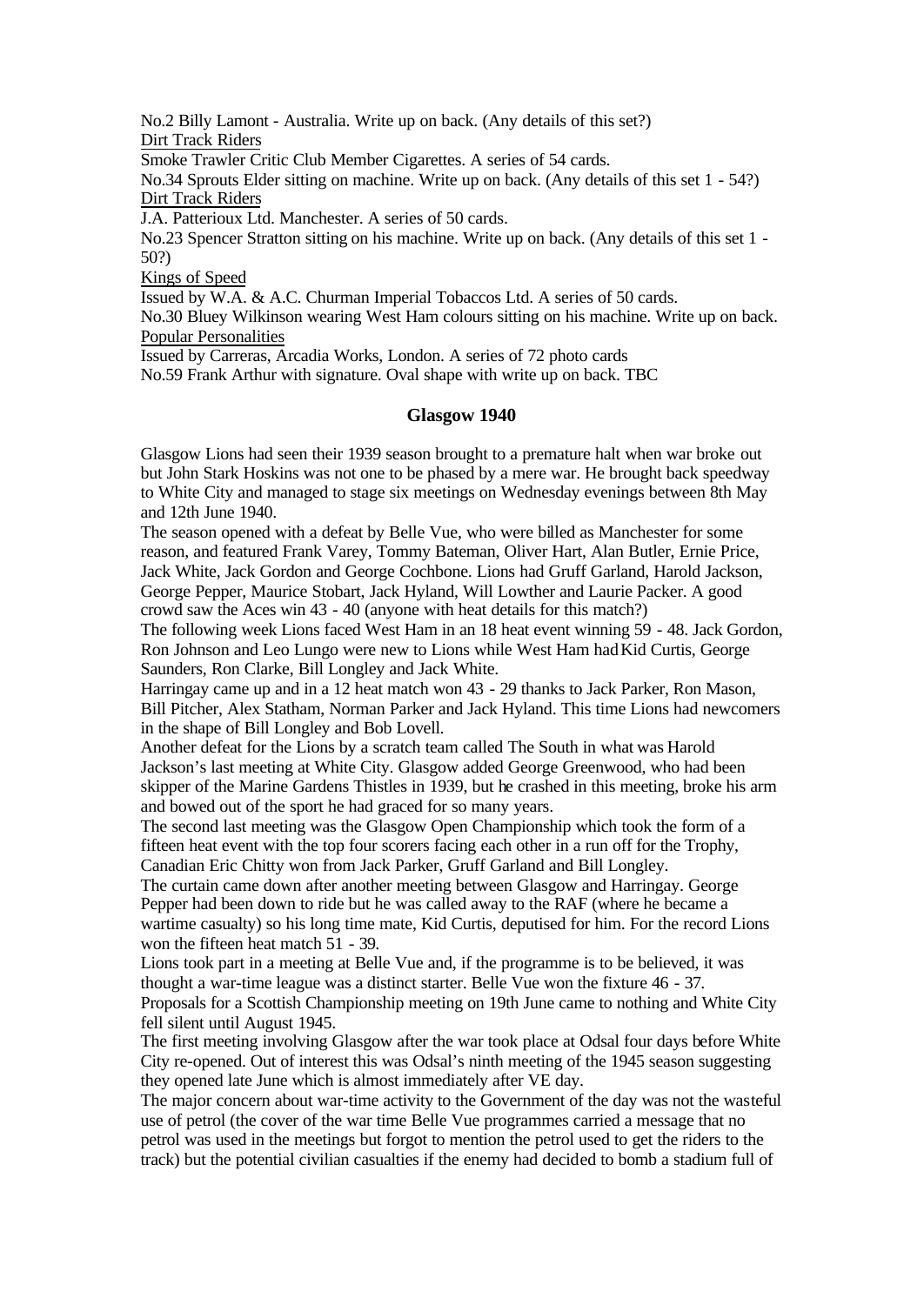No.2 Billy Lamont - Australia. Write up on back. (Any details of this set?) Dirt Track Riders

Smoke Trawler Critic Club Member Cigarettes. A series of 54 cards.

No.34 Sprouts Elder sitting on machine. Write up on back. (Any details of this set 1 - 54?) Dirt Track Riders

J.A. Patterioux Ltd. Manchester. A series of 50 cards.

No.23 Spencer Stratton sitting on his machine. Write up on back. (Any details of this set 1 - 50?)

Kings of Speed

Issued by W.A. & A.C. Churman Imperial Tobaccos Ltd. A series of 50 cards.

No.30 Bluey Wilkinson wearing West Ham colours sitting on his machine. Write up on back. Popular Personalities

Issued by Carreras, Arcadia Works, London. A series of 72 photo cards

No.59 Frank Arthur with signature. Oval shape with write up on back. TBC

## **Glasgow 1940**

Glasgow Lions had seen their 1939 season brought to a premature halt when war broke out but John Stark Hoskins was not one to be phased by a mere war. He brought back speedway to White City and managed to stage six meetings on Wednesday evenings between 8th May and 12th June 1940.

The season opened with a defeat by Belle Vue, who were billed as Manchester for some reason, and featured Frank Varey, Tommy Bateman, Oliver Hart, Alan Butler, Ernie Price, Jack White, Jack Gordon and George Cochbone. Lions had Gruff Garland, Harold Jackson, George Pepper, Maurice Stobart, Jack Hyland, Will Lowther and Laurie Packer. A good crowd saw the Aces win 43 - 40 (anyone with heat details for this match?)

The following week Lions faced West Ham in an 18 heat event winning 59 - 48. Jack Gordon, Ron Johnson and Leo Lungo were new to Lions while West Ham hadKid Curtis, George Saunders, Ron Clarke, Bill Longley and Jack White.

Harringay came up and in a 12 heat match won 43 - 29 thanks to Jack Parker, Ron Mason, Bill Pitcher, Alex Statham, Norman Parker and Jack Hyland. This time Lions had newcomers in the shape of Bill Longley and Bob Lovell.

Another defeat for the Lions by a scratch team called The South in what was Harold Jackson's last meeting at White City. Glasgow added George Greenwood, who had been skipper of the Marine Gardens Thistles in 1939, but he crashed in this meeting, broke his arm and bowed out of the sport he had graced for so many years.

The second last meeting was the Glasgow Open Championship which took the form of a fifteen heat event with the top four scorers facing each other in a run off for the Trophy, Canadian Eric Chitty won from Jack Parker, Gruff Garland and Bill Longley.

The curtain came down after another meeting between Glasgow and Harringay. George Pepper had been down to ride but he was called away to the RAF (where he became a wartime casualty) so his long time mate, Kid Curtis, deputised for him. For the record Lions won the fifteen heat match 51 - 39.

Lions took part in a meeting at Belle Vue and, if the programme is to be believed, it was thought a war-time league was a distinct starter. Belle Vue won the fixture 46 - 37. Proposals for a Scottish Championship meeting on 19th June came to nothing and White City

fell silent until August 1945.

The first meeting involving Glasgow after the war took place at Odsal four days before White City re-opened. Out of interest this was Odsal's ninth meeting of the 1945 season suggesting they opened late June which is almost immediately after VE day.

The major concern about war-time activity to the Government of the day was not the wasteful use of petrol (the cover of the war time Belle Vue programmes carried a message that no petrol was used in the meetings but forgot to mention the petrol used to get the riders to the track) but the potential civilian casualties if the enemy had decided to bomb a stadium full of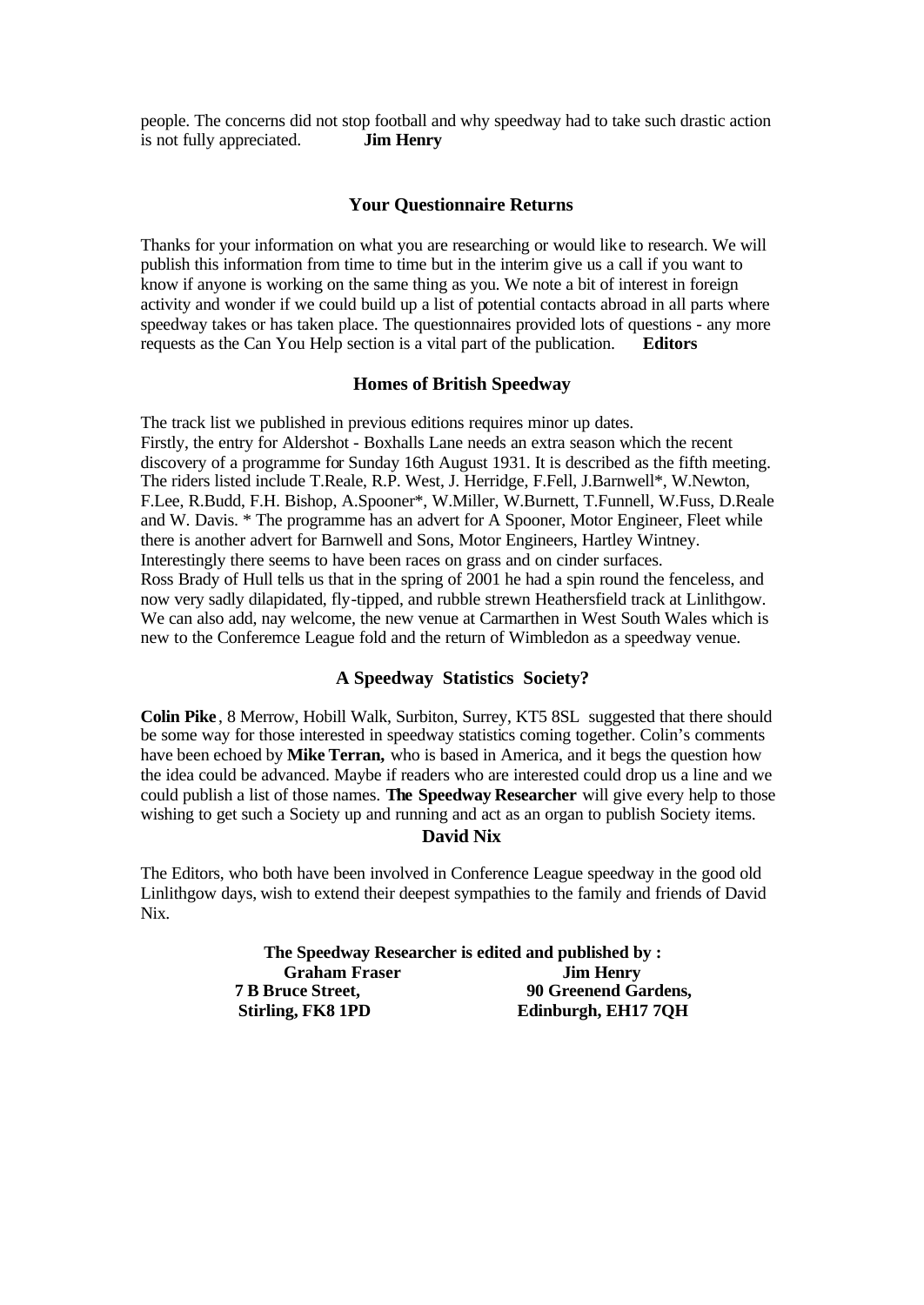people. The concerns did not stop football and why speedway had to take such drastic action is not fully appreciated. **Jim Henry**

### **Your Questionnaire Returns**

Thanks for your information on what you are researching or would like to research. We will publish this information from time to time but in the interim give us a call if you want to know if anyone is working on the same thing as you. We note a bit of interest in foreign activity and wonder if we could build up a list of potential contacts abroad in all parts where speedway takes or has taken place. The questionnaires provided lots of questions - any more requests as the Can You Help section is a vital part of the publication. **Editors** 

#### **Homes of British Speedway**

The track list we published in previous editions requires minor up dates. Firstly, the entry for Aldershot - Boxhalls Lane needs an extra season which the recent discovery of a programme for Sunday 16th August 1931. It is described as the fifth meeting. The riders listed include T.Reale, R.P. West, J. Herridge, F.Fell, J.Barnwell\*, W.Newton, F.Lee, R.Budd, F.H. Bishop, A.Spooner\*, W.Miller, W.Burnett, T.Funnell, W.Fuss, D.Reale and W. Davis. \* The programme has an advert for A Spooner, Motor Engineer, Fleet while there is another advert for Barnwell and Sons, Motor Engineers, Hartley Wintney. Interestingly there seems to have been races on grass and on cinder surfaces. Ross Brady of Hull tells us that in the spring of 2001 he had a spin round the fenceless, and now very sadly dilapidated, fly-tipped, and rubble strewn Heathersfield track at Linlithgow. We can also add, nay welcome, the new venue at Carmarthen in West South Wales which is new to the Conferemce League fold and the return of Wimbledon as a speedway venue.

## **A Speedway Statistics Society?**

**Colin Pike** , 8 Merrow, Hobill Walk, Surbiton, Surrey, KT5 8SL suggested that there should be some way for those interested in speedway statistics coming together. Colin's comments have been echoed by **Mike Terran,** who is based in America, and it begs the question how the idea could be advanced. Maybe if readers who are interested could drop us a line and we could publish a list of those names. **The Speedway Researcher** will give every help to those wishing to get such a Society up and running and act as an organ to publish Society items. **David Nix**

The Editors, who both have been involved in Conference League speedway in the good old Linlithgow days, wish to extend their deepest sympathies to the family and friends of David Nix.

> **The Speedway Researcher is edited and published by : Graham Fraser Jim Henry 7 B Bruce Street, 90 Greenend Gardens, Stirling, FK8 1PD Edinburgh, EH17 7QH**